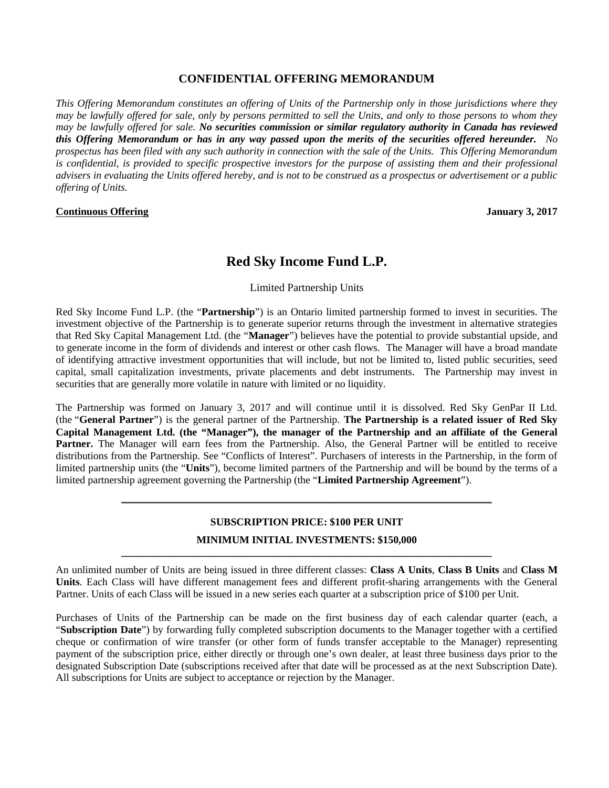## **CONFIDENTIAL OFFERING MEMORANDUM**

*This Offering Memorandum constitutes an offering of Units of the Partnership only in those jurisdictions where they may be lawfully offered for sale, only by persons permitted to sell the Units, and only to those persons to whom they may be lawfully offered for sale. No securities commission or similar regulatory authority in Canada has reviewed this Offering Memorandum or has in any way passed upon the merits of the securities offered hereunder. No prospectus has been filed with any such authority in connection with the sale of the Units. This Offering Memorandum is confidential, is provided to specific prospective investors for the purpose of assisting them and their professional advisers in evaluating the Units offered hereby, and is not to be construed as a prospectus or advertisement or a public offering of Units.*

#### **Continuous Offering January 3, 2017**

# **Red Sky Income Fund L.P.**

#### Limited Partnership Units

Red Sky Income Fund L.P. (the "**Partnership**") is an Ontario limited partnership formed to invest in securities. The investment objective of the Partnership is to generate superior returns through the investment in alternative strategies that Red Sky Capital Management Ltd. (the "**Manager**") believes have the potential to provide substantial upside, and to generate income in the form of dividends and interest or other cash flows. The Manager will have a broad mandate of identifying attractive investment opportunities that will include, but not be limited to, listed public securities, seed capital, small capitalization investments, private placements and debt instruments. The Partnership may invest in securities that are generally more volatile in nature with limited or no liquidity.

The Partnership was formed on January 3, 2017 and will continue until it is dissolved. Red Sky GenPar II Ltd. (the "**General Partner**") is the general partner of the Partnership. **The Partnership is a related issuer of Red Sky Capital Management Ltd. (the "Manager"), the manager of the Partnership and an affiliate of the General** Partner. The Manager will earn fees from the Partnership. Also, the General Partner will be entitled to receive distributions from the Partnership. See "Conflicts of Interest". Purchasers of interests in the Partnership, in the form of limited partnership units (the "**Units**"), become limited partners of the Partnership and will be bound by the terms of a limited partnership agreement governing the Partnership (the "**Limited Partnership Agreement**").

# **SUBSCRIPTION PRICE: \$100 PER UNIT**

\_\_\_\_\_\_\_\_\_\_\_\_\_\_\_\_\_\_\_\_\_\_\_\_\_\_\_\_\_\_\_\_\_\_\_\_\_\_\_\_\_\_\_\_\_\_\_\_\_\_\_\_\_\_\_\_\_\_\_\_\_\_\_\_\_\_\_\_\_\_\_

## **MINIMUM INITIAL INVESTMENTS: \$150,000** \_\_\_\_\_\_\_\_\_\_\_\_\_\_\_\_\_\_\_\_\_\_\_\_\_\_\_\_\_\_\_\_\_\_\_\_\_\_\_\_\_\_\_\_\_\_\_\_\_\_\_\_\_\_\_\_\_\_\_\_\_\_\_\_\_\_\_\_\_\_\_

An unlimited number of Units are being issued in three different classes: **Class A Units**, **Class B Units** and **Class M Units**. Each Class will have different management fees and different profit-sharing arrangements with the General Partner. Units of each Class will be issued in a new series each quarter at a subscription price of \$100 per Unit.

Purchases of Units of the Partnership can be made on the first business day of each calendar quarter (each, a "**Subscription Date**") by forwarding fully completed subscription documents to the Manager together with a certified cheque or confirmation of wire transfer (or other form of funds transfer acceptable to the Manager) representing payment of the subscription price, either directly or through one's own dealer, at least three business days prior to the designated Subscription Date (subscriptions received after that date will be processed as at the next Subscription Date). All subscriptions for Units are subject to acceptance or rejection by the Manager.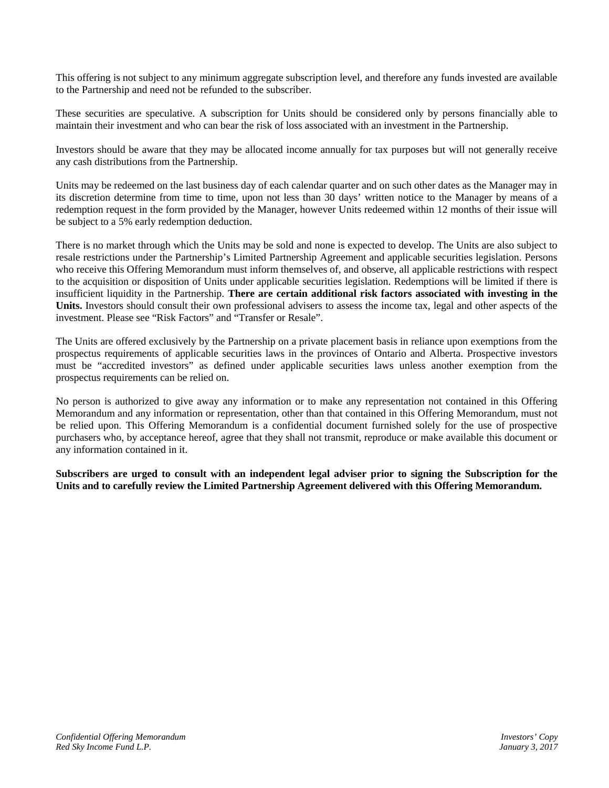This offering is not subject to any minimum aggregate subscription level, and therefore any funds invested are available to the Partnership and need not be refunded to the subscriber.

These securities are speculative. A subscription for Units should be considered only by persons financially able to maintain their investment and who can bear the risk of loss associated with an investment in the Partnership.

Investors should be aware that they may be allocated income annually for tax purposes but will not generally receive any cash distributions from the Partnership.

Units may be redeemed on the last business day of each calendar quarter and on such other dates as the Manager may in its discretion determine from time to time, upon not less than 30 days' written notice to the Manager by means of a redemption request in the form provided by the Manager, however Units redeemed within 12 months of their issue will be subject to a 5% early redemption deduction.

There is no market through which the Units may be sold and none is expected to develop. The Units are also subject to resale restrictions under the Partnership's Limited Partnership Agreement and applicable securities legislation. Persons who receive this Offering Memorandum must inform themselves of, and observe, all applicable restrictions with respect to the acquisition or disposition of Units under applicable securities legislation. Redemptions will be limited if there is insufficient liquidity in the Partnership. **There are certain additional risk factors associated with investing in the Units.** Investors should consult their own professional advisers to assess the income tax, legal and other aspects of the investment. Please see "Risk Factors" and "Transfer or Resale".

The Units are offered exclusively by the Partnership on a private placement basis in reliance upon exemptions from the prospectus requirements of applicable securities laws in the provinces of Ontario and Alberta. Prospective investors must be "accredited investors" as defined under applicable securities laws unless another exemption from the prospectus requirements can be relied on.

No person is authorized to give away any information or to make any representation not contained in this Offering Memorandum and any information or representation, other than that contained in this Offering Memorandum, must not be relied upon. This Offering Memorandum is a confidential document furnished solely for the use of prospective purchasers who, by acceptance hereof, agree that they shall not transmit, reproduce or make available this document or any information contained in it.

**Subscribers are urged to consult with an independent legal adviser prior to signing the Subscription for the Units and to carefully review the Limited Partnership Agreement delivered with this Offering Memorandum.**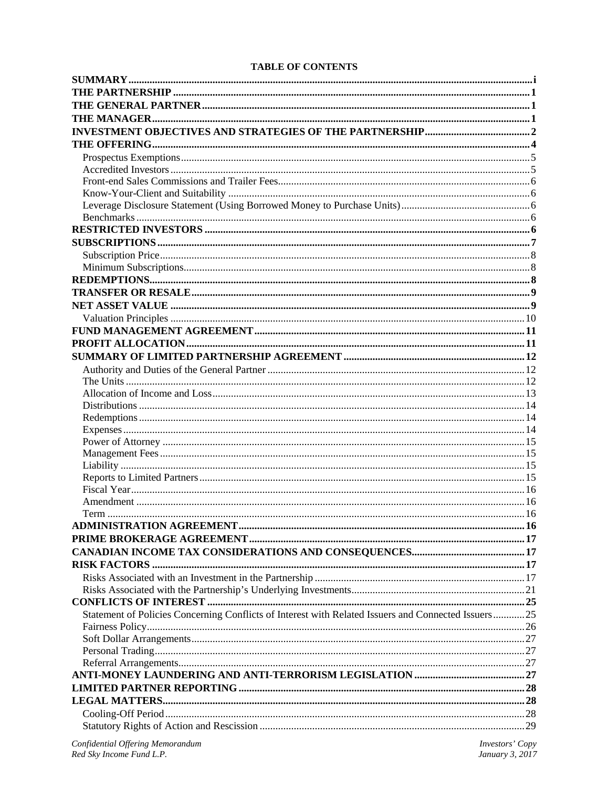# **TABLE OF CONTENTS**

| Statement of Policies Concerning Conflicts of Interest with Related Issuers and Connected Issuers25 |  |
|-----------------------------------------------------------------------------------------------------|--|
|                                                                                                     |  |
|                                                                                                     |  |
|                                                                                                     |  |
|                                                                                                     |  |
|                                                                                                     |  |
|                                                                                                     |  |
|                                                                                                     |  |
|                                                                                                     |  |
|                                                                                                     |  |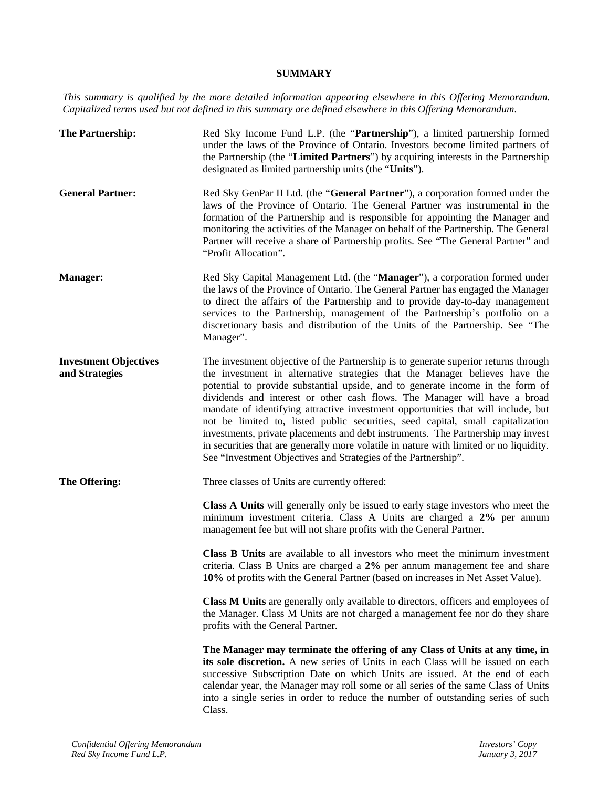# **SUMMARY**

*This summary is qualified by the more detailed information appearing elsewhere in this Offering Memorandum. Capitalized terms used but not defined in this summary are defined elsewhere in this Offering Memorandum.*

| The Partnership:                               | Red Sky Income Fund L.P. (the "Partnership"), a limited partnership formed<br>under the laws of the Province of Ontario. Investors become limited partners of<br>the Partnership (the "Limited Partners") by acquiring interests in the Partnership<br>designated as limited partnership units (the "Units").                                                                                                                                                                                                                                                                                                                                                                                                                                             |
|------------------------------------------------|-----------------------------------------------------------------------------------------------------------------------------------------------------------------------------------------------------------------------------------------------------------------------------------------------------------------------------------------------------------------------------------------------------------------------------------------------------------------------------------------------------------------------------------------------------------------------------------------------------------------------------------------------------------------------------------------------------------------------------------------------------------|
| <b>General Partner:</b>                        | Red Sky GenPar II Ltd. (the "General Partner"), a corporation formed under the<br>laws of the Province of Ontario. The General Partner was instrumental in the<br>formation of the Partnership and is responsible for appointing the Manager and<br>monitoring the activities of the Manager on behalf of the Partnership. The General<br>Partner will receive a share of Partnership profits. See "The General Partner" and<br>"Profit Allocation".                                                                                                                                                                                                                                                                                                      |
| Manager:                                       | Red Sky Capital Management Ltd. (the "Manager"), a corporation formed under<br>the laws of the Province of Ontario. The General Partner has engaged the Manager<br>to direct the affairs of the Partnership and to provide day-to-day management<br>services to the Partnership, management of the Partnership's portfolio on a<br>discretionary basis and distribution of the Units of the Partnership. See "The<br>Manager".                                                                                                                                                                                                                                                                                                                            |
| <b>Investment Objectives</b><br>and Strategies | The investment objective of the Partnership is to generate superior returns through<br>the investment in alternative strategies that the Manager believes have the<br>potential to provide substantial upside, and to generate income in the form of<br>dividends and interest or other cash flows. The Manager will have a broad<br>mandate of identifying attractive investment opportunities that will include, but<br>not be limited to, listed public securities, seed capital, small capitalization<br>investments, private placements and debt instruments. The Partnership may invest<br>in securities that are generally more volatile in nature with limited or no liquidity.<br>See "Investment Objectives and Strategies of the Partnership". |
| The Offering:                                  | Three classes of Units are currently offered:                                                                                                                                                                                                                                                                                                                                                                                                                                                                                                                                                                                                                                                                                                             |
|                                                | Class A Units will generally only be issued to early stage investors who meet the<br>minimum investment criteria. Class A Units are charged a 2% per annum<br>management fee but will not share profits with the General Partner.                                                                                                                                                                                                                                                                                                                                                                                                                                                                                                                         |
|                                                | Class B Units are available to all investors who meet the minimum investment<br>criteria. Class B Units are charged a 2% per annum management fee and share<br>10% of profits with the General Partner (based on increases in Net Asset Value).                                                                                                                                                                                                                                                                                                                                                                                                                                                                                                           |
|                                                | Class M Units are generally only available to directors, officers and employees of<br>the Manager. Class M Units are not charged a management fee nor do they share<br>profits with the General Partner.                                                                                                                                                                                                                                                                                                                                                                                                                                                                                                                                                  |
|                                                | The Manager may terminate the offering of any Class of Units at any time, in<br>its sole discretion. A new series of Units in each Class will be issued on each<br>successive Subscription Date on which Units are issued. At the end of each<br>calendar year, the Manager may roll some or all series of the same Class of Units<br>into a single series in order to reduce the number of outstanding series of such<br>Class.                                                                                                                                                                                                                                                                                                                          |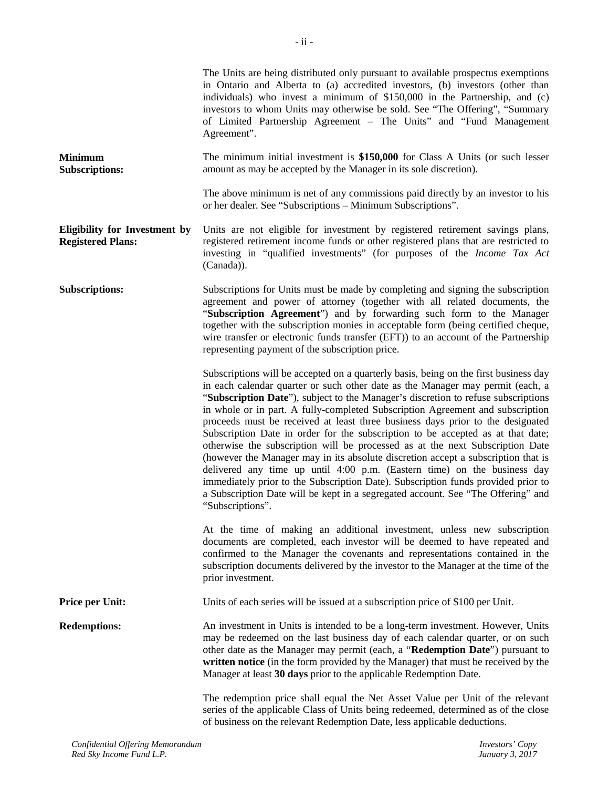|                                                                  | The Units are being distributed only pursuant to available prospectus exemptions<br>in Ontario and Alberta to (a) accredited investors, (b) investors (other than<br>individuals) who invest a minimum of \$150,000 in the Partnership, and (c)<br>investors to whom Units may otherwise be sold. See "The Offering", "Summary<br>of Limited Partnership Agreement - The Units" and "Fund Management<br>Agreement".                                                                                                                                                                                                                                                                                                                                                                                                                                                                                                                                               |
|------------------------------------------------------------------|-------------------------------------------------------------------------------------------------------------------------------------------------------------------------------------------------------------------------------------------------------------------------------------------------------------------------------------------------------------------------------------------------------------------------------------------------------------------------------------------------------------------------------------------------------------------------------------------------------------------------------------------------------------------------------------------------------------------------------------------------------------------------------------------------------------------------------------------------------------------------------------------------------------------------------------------------------------------|
| <b>Minimum</b><br><b>Subscriptions:</b>                          | The minimum initial investment is \$150,000 for Class A Units (or such lesser<br>amount as may be accepted by the Manager in its sole discretion).                                                                                                                                                                                                                                                                                                                                                                                                                                                                                                                                                                                                                                                                                                                                                                                                                |
|                                                                  | The above minimum is net of any commissions paid directly by an investor to his<br>or her dealer. See "Subscriptions - Minimum Subscriptions".                                                                                                                                                                                                                                                                                                                                                                                                                                                                                                                                                                                                                                                                                                                                                                                                                    |
| <b>Eligibility for Investment by</b><br><b>Registered Plans:</b> | Units are not eligible for investment by registered retirement savings plans,<br>registered retirement income funds or other registered plans that are restricted to<br>investing in "qualified investments" (for purposes of the Income Tax Act<br>(Canada)).                                                                                                                                                                                                                                                                                                                                                                                                                                                                                                                                                                                                                                                                                                    |
| <b>Subscriptions:</b>                                            | Subscriptions for Units must be made by completing and signing the subscription<br>agreement and power of attorney (together with all related documents, the<br>"Subscription Agreement") and by forwarding such form to the Manager<br>together with the subscription monies in acceptable form (being certified cheque,<br>wire transfer or electronic funds transfer (EFT)) to an account of the Partnership<br>representing payment of the subscription price.                                                                                                                                                                                                                                                                                                                                                                                                                                                                                                |
|                                                                  | Subscriptions will be accepted on a quarterly basis, being on the first business day<br>in each calendar quarter or such other date as the Manager may permit (each, a<br>"Subscription Date"), subject to the Manager's discretion to refuse subscriptions<br>in whole or in part. A fully-completed Subscription Agreement and subscription<br>proceeds must be received at least three business days prior to the designated<br>Subscription Date in order for the subscription to be accepted as at that date;<br>otherwise the subscription will be processed as at the next Subscription Date<br>(however the Manager may in its absolute discretion accept a subscription that is<br>delivered any time up until 4:00 p.m. (Eastern time) on the business day<br>immediately prior to the Subscription Date). Subscription funds provided prior to<br>a Subscription Date will be kept in a segregated account. See "The Offering" and<br>"Subscriptions". |
|                                                                  | At the time of making an additional investment, unless new subscription<br>documents are completed, each investor will be deemed to have repeated and<br>confirmed to the Manager the covenants and representations contained in the<br>subscription documents delivered by the investor to the Manager at the time of the<br>prior investment.                                                                                                                                                                                                                                                                                                                                                                                                                                                                                                                                                                                                                   |
| Price per Unit:                                                  | Units of each series will be issued at a subscription price of \$100 per Unit.                                                                                                                                                                                                                                                                                                                                                                                                                                                                                                                                                                                                                                                                                                                                                                                                                                                                                    |
| <b>Redemptions:</b>                                              | An investment in Units is intended to be a long-term investment. However, Units<br>may be redeemed on the last business day of each calendar quarter, or on such<br>other date as the Manager may permit (each, a "Redemption Date") pursuant to<br>written notice (in the form provided by the Manager) that must be received by the<br>Manager at least 30 days prior to the applicable Redemption Date.                                                                                                                                                                                                                                                                                                                                                                                                                                                                                                                                                        |
|                                                                  | The redemption price shall equal the Net Asset Value per Unit of the relevant<br>series of the applicable Class of Units being redeemed, determined as of the close<br>of business on the relevant Redemption Date, less applicable deductions.                                                                                                                                                                                                                                                                                                                                                                                                                                                                                                                                                                                                                                                                                                                   |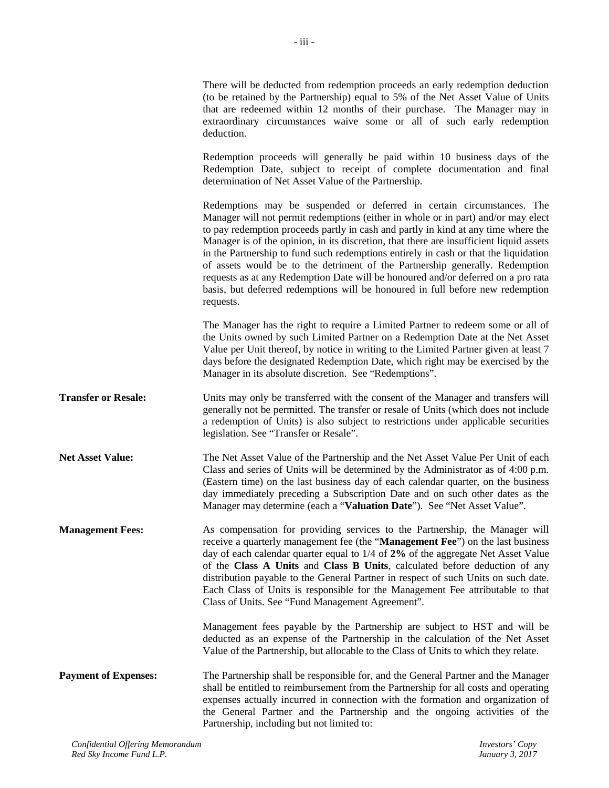There will be deducted from redemption proceeds an early redemption deduction (to be retained by the Partnership) equal to 5% of the Net Asset Value of Units that are redeemed within 12 months of their purchase. The Manager may in extraordinary circumstances waive some or all of such early redemption deduction. Redemption proceeds will generally be paid within 10 business days of the Redemption Date, subject to receipt of complete documentation and final determination of Net Asset Value of the Partnership. Redemptions may be suspended or deferred in certain circumstances. The Manager will not permit redemptions (either in whole or in part) and/or may elect to pay redemption proceeds partly in cash and partly in kind at any time where the Manager is of the opinion, in its discretion, that there are insufficient liquid assets in the Partnership to fund such redemptions entirely in cash or that the liquidation of assets would be to the detriment of the Partnership generally. Redemption requests as at any Redemption Date will be honoured and/or deferred on a pro rata basis, but deferred redemptions will be honoured in full before new redemption requests. The Manager has the right to require a Limited Partner to redeem some or all of the Units owned by such Limited Partner on a Redemption Date at the Net Asset Value per Unit thereof, by notice in writing to the Limited Partner given at least 7 days before the designated Redemption Date, which right may be exercised by the Manager in its absolute discretion. See "Redemptions". **Transfer or Resale:** Units may only be transferred with the consent of the Manager and transfers will generally not be permitted. The transfer or resale of Units (which does not include a redemption of Units) is also subject to restrictions under applicable securities legislation. See "Transfer or Resale".

**Net Asset Value:** The Net Asset Value of the Partnership and the Net Asset Value Per Unit of each Class and series of Units will be determined by the Administrator as of 4:00 p.m. (Eastern time) on the last business day of each calendar quarter, on the business day immediately preceding a Subscription Date and on such other dates as the Manager may determine (each a "**Valuation Date**"). See "Net Asset Value".

**Management Fees:** As compensation for providing services to the Partnership, the Manager will receive a quarterly management fee (the "**Management Fee**") on the last business day of each calendar quarter equal to 1/4 of **2%** of the aggregate Net Asset Value of the **Class A Units** and **Class B Units**, calculated before deduction of any distribution payable to the General Partner in respect of such Units on such date. Each Class of Units is responsible for the Management Fee attributable to that Class of Units. See "Fund Management Agreement".

> Management fees payable by the Partnership are subject to HST and will be deducted as an expense of the Partnership in the calculation of the Net Asset Value of the Partnership, but allocable to the Class of Units to which they relate.

**Payment of Expenses:** The Partnership shall be responsible for, and the General Partner and the Manager shall be entitled to reimbursement from the Partnership for all costs and operating expenses actually incurred in connection with the formation and organization of the General Partner and the Partnership and the ongoing activities of the Partnership, including but not limited to: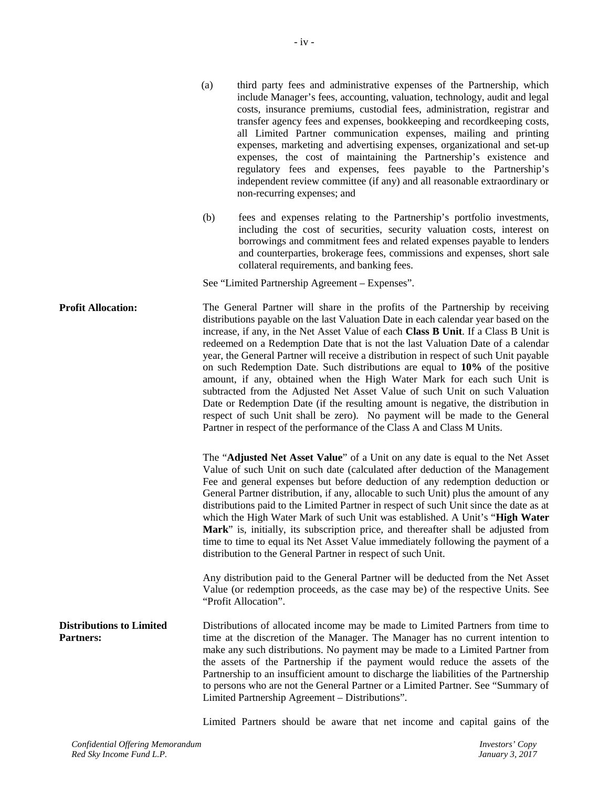- iv -

- (a) third party fees and administrative expenses of the Partnership, which include Manager's fees, accounting, valuation, technology, audit and legal costs, insurance premiums, custodial fees, administration, registrar and transfer agency fees and expenses, bookkeeping and recordkeeping costs, all Limited Partner communication expenses, mailing and printing expenses, marketing and advertising expenses, organizational and set-up expenses, the cost of maintaining the Partnership's existence and regulatory fees and expenses, fees payable to the Partnership's independent review committee (if any) and all reasonable extraordinary or non-recurring expenses; and
- (b) fees and expenses relating to the Partnership's portfolio investments, including the cost of securities, security valuation costs, interest on borrowings and commitment fees and related expenses payable to lenders and counterparties, brokerage fees, commissions and expenses, short sale collateral requirements, and banking fees.

See "Limited Partnership Agreement – Expenses".

**Profit Allocation:** The General Partner will share in the profits of the Partnership by receiving distributions payable on the last Valuation Date in each calendar year based on the increase, if any, in the Net Asset Value of each **Class B Unit**. If a Class B Unit is redeemed on a Redemption Date that is not the last Valuation Date of a calendar year, the General Partner will receive a distribution in respect of such Unit payable on such Redemption Date. Such distributions are equal to **10%** of the positive amount, if any, obtained when the High Water Mark for each such Unit is subtracted from the Adjusted Net Asset Value of such Unit on such Valuation Date or Redemption Date (if the resulting amount is negative, the distribution in respect of such Unit shall be zero). No payment will be made to the General Partner in respect of the performance of the Class A and Class M Units.

> The "**Adjusted Net Asset Value**" of a Unit on any date is equal to the Net Asset Value of such Unit on such date (calculated after deduction of the Management Fee and general expenses but before deduction of any redemption deduction or General Partner distribution, if any, allocable to such Unit) plus the amount of any distributions paid to the Limited Partner in respect of such Unit since the date as at which the High Water Mark of such Unit was established. A Unit's "**High Water Mark**" is, initially, its subscription price, and thereafter shall be adjusted from time to time to equal its Net Asset Value immediately following the payment of a distribution to the General Partner in respect of such Unit.

> Any distribution paid to the General Partner will be deducted from the Net Asset Value (or redemption proceeds, as the case may be) of the respective Units. See "Profit Allocation".

**Distributions to Limited Partners:** Distributions of allocated income may be made to Limited Partners from time to time at the discretion of the Manager. The Manager has no current intention to make any such distributions. No payment may be made to a Limited Partner from the assets of the Partnership if the payment would reduce the assets of the Partnership to an insufficient amount to discharge the liabilities of the Partnership to persons who are not the General Partner or a Limited Partner. See "Summary of Limited Partnership Agreement – Distributions".

Limited Partners should be aware that net income and capital gains of the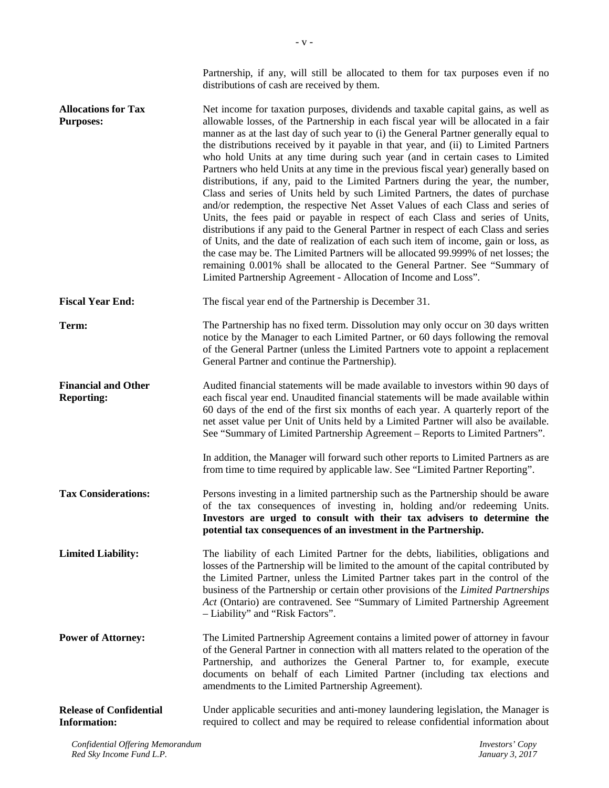|                                                       | Partnership, if any, will still be allocated to them for tax purposes even if no<br>distributions of cash are received by them.                                                                                                                                                                                                                                                                                                                                                                                                                                                                                                                                                                                                                                                                                                                                                                                                                                                                                                                                                                                                                                                                                                                                                                 |
|-------------------------------------------------------|-------------------------------------------------------------------------------------------------------------------------------------------------------------------------------------------------------------------------------------------------------------------------------------------------------------------------------------------------------------------------------------------------------------------------------------------------------------------------------------------------------------------------------------------------------------------------------------------------------------------------------------------------------------------------------------------------------------------------------------------------------------------------------------------------------------------------------------------------------------------------------------------------------------------------------------------------------------------------------------------------------------------------------------------------------------------------------------------------------------------------------------------------------------------------------------------------------------------------------------------------------------------------------------------------|
| <b>Allocations for Tax</b><br><b>Purposes:</b>        | Net income for taxation purposes, dividends and taxable capital gains, as well as<br>allowable losses, of the Partnership in each fiscal year will be allocated in a fair<br>manner as at the last day of such year to (i) the General Partner generally equal to<br>the distributions received by it payable in that year, and (ii) to Limited Partners<br>who hold Units at any time during such year (and in certain cases to Limited<br>Partners who held Units at any time in the previous fiscal year) generally based on<br>distributions, if any, paid to the Limited Partners during the year, the number,<br>Class and series of Units held by such Limited Partners, the dates of purchase<br>and/or redemption, the respective Net Asset Values of each Class and series of<br>Units, the fees paid or payable in respect of each Class and series of Units,<br>distributions if any paid to the General Partner in respect of each Class and series<br>of Units, and the date of realization of each such item of income, gain or loss, as<br>the case may be. The Limited Partners will be allocated 99.999% of net losses; the<br>remaining 0.001% shall be allocated to the General Partner. See "Summary of<br>Limited Partnership Agreement - Allocation of Income and Loss". |
| <b>Fiscal Year End:</b>                               | The fiscal year end of the Partnership is December 31.                                                                                                                                                                                                                                                                                                                                                                                                                                                                                                                                                                                                                                                                                                                                                                                                                                                                                                                                                                                                                                                                                                                                                                                                                                          |
| Term:                                                 | The Partnership has no fixed term. Dissolution may only occur on 30 days written<br>notice by the Manager to each Limited Partner, or 60 days following the removal<br>of the General Partner (unless the Limited Partners vote to appoint a replacement<br>General Partner and continue the Partnership).                                                                                                                                                                                                                                                                                                                                                                                                                                                                                                                                                                                                                                                                                                                                                                                                                                                                                                                                                                                      |
| <b>Financial and Other</b><br><b>Reporting:</b>       | Audited financial statements will be made available to investors within 90 days of<br>each fiscal year end. Unaudited financial statements will be made available within<br>60 days of the end of the first six months of each year. A quarterly report of the<br>net asset value per Unit of Units held by a Limited Partner will also be available.<br>See "Summary of Limited Partnership Agreement – Reports to Limited Partners".                                                                                                                                                                                                                                                                                                                                                                                                                                                                                                                                                                                                                                                                                                                                                                                                                                                          |
|                                                       | In addition, the Manager will forward such other reports to Limited Partners as are<br>from time to time required by applicable law. See "Limited Partner Reporting".                                                                                                                                                                                                                                                                                                                                                                                                                                                                                                                                                                                                                                                                                                                                                                                                                                                                                                                                                                                                                                                                                                                           |
| <b>Tax Considerations:</b>                            | Persons investing in a limited partnership such as the Partnership should be aware<br>of the tax consequences of investing in, holding and/or redeeming Units.<br>Investors are urged to consult with their tax advisers to determine the<br>potential tax consequences of an investment in the Partnership.                                                                                                                                                                                                                                                                                                                                                                                                                                                                                                                                                                                                                                                                                                                                                                                                                                                                                                                                                                                    |
| <b>Limited Liability:</b>                             | The liability of each Limited Partner for the debts, liabilities, obligations and<br>losses of the Partnership will be limited to the amount of the capital contributed by<br>the Limited Partner, unless the Limited Partner takes part in the control of the<br>business of the Partnership or certain other provisions of the Limited Partnerships<br>Act (Ontario) are contravened. See "Summary of Limited Partnership Agreement<br>- Liability" and "Risk Factors".                                                                                                                                                                                                                                                                                                                                                                                                                                                                                                                                                                                                                                                                                                                                                                                                                       |
| <b>Power of Attorney:</b>                             | The Limited Partnership Agreement contains a limited power of attorney in favour<br>of the General Partner in connection with all matters related to the operation of the<br>Partnership, and authorizes the General Partner to, for example, execute<br>documents on behalf of each Limited Partner (including tax elections and<br>amendments to the Limited Partnership Agreement).                                                                                                                                                                                                                                                                                                                                                                                                                                                                                                                                                                                                                                                                                                                                                                                                                                                                                                          |
| <b>Release of Confidential</b><br><b>Information:</b> | Under applicable securities and anti-money laundering legislation, the Manager is<br>required to collect and may be required to release confidential information about                                                                                                                                                                                                                                                                                                                                                                                                                                                                                                                                                                                                                                                                                                                                                                                                                                                                                                                                                                                                                                                                                                                          |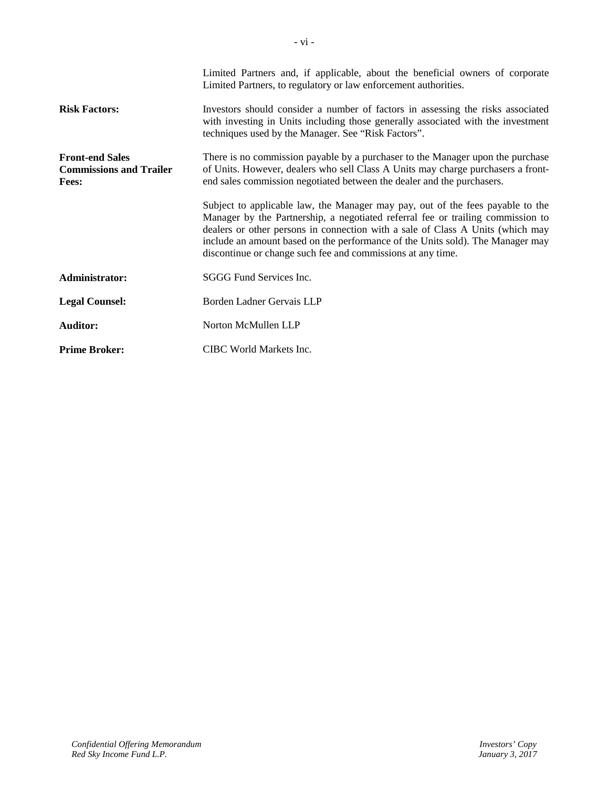|                                                                          | Limited Partners and, if applicable, about the beneficial owners of corporate<br>Limited Partners, to regulatory or law enforcement authorities.                                                                                                                                                                                                                                                     |  |
|--------------------------------------------------------------------------|------------------------------------------------------------------------------------------------------------------------------------------------------------------------------------------------------------------------------------------------------------------------------------------------------------------------------------------------------------------------------------------------------|--|
| <b>Risk Factors:</b>                                                     | Investors should consider a number of factors in assessing the risks associated<br>with investing in Units including those generally associated with the investment<br>techniques used by the Manager. See "Risk Factors".                                                                                                                                                                           |  |
| <b>Front-end Sales</b><br><b>Commissions and Trailer</b><br><b>Fees:</b> | There is no commission payable by a purchaser to the Manager upon the purchase<br>of Units. However, dealers who sell Class A Units may charge purchasers a front-<br>end sales commission negotiated between the dealer and the purchasers.                                                                                                                                                         |  |
|                                                                          | Subject to applicable law, the Manager may pay, out of the fees payable to the<br>Manager by the Partnership, a negotiated referral fee or trailing commission to<br>dealers or other persons in connection with a sale of Class A Units (which may<br>include an amount based on the performance of the Units sold). The Manager may<br>discontinue or change such fee and commissions at any time. |  |
| Administrator:                                                           | SGGG Fund Services Inc.                                                                                                                                                                                                                                                                                                                                                                              |  |
| <b>Legal Counsel:</b>                                                    | Borden Ladner Gervais LLP                                                                                                                                                                                                                                                                                                                                                                            |  |
| <b>Auditor:</b>                                                          | Norton McMullen LLP                                                                                                                                                                                                                                                                                                                                                                                  |  |
| <b>Prime Broker:</b>                                                     | CIBC World Markets Inc.                                                                                                                                                                                                                                                                                                                                                                              |  |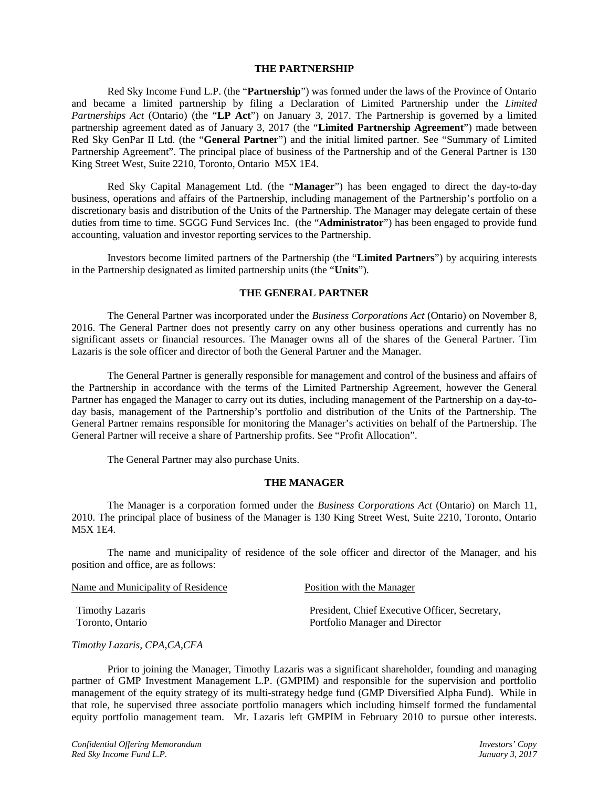### **THE PARTNERSHIP**

Red Sky Income Fund L.P. (the "**Partnership**") was formed under the laws of the Province of Ontario and became a limited partnership by filing a Declaration of Limited Partnership under the *Limited Partnerships Act* (Ontario) (the "**LP Act**") on January 3, 2017. The Partnership is governed by a limited partnership agreement dated as of January 3, 2017 (the "**Limited Partnership Agreement**") made between Red Sky GenPar II Ltd. (the "**General Partner**") and the initial limited partner. See "Summary of Limited Partnership Agreement". The principal place of business of the Partnership and of the General Partner is 130 King Street West, Suite 2210, Toronto, Ontario M5X 1E4.

Red Sky Capital Management Ltd. (the "**Manager**") has been engaged to direct the day-to-day business, operations and affairs of the Partnership, including management of the Partnership's portfolio on a discretionary basis and distribution of the Units of the Partnership. The Manager may delegate certain of these duties from time to time. SGGG Fund Services Inc. (the "**Administrator**") has been engaged to provide fund accounting, valuation and investor reporting services to the Partnership.

Investors become limited partners of the Partnership (the "**Limited Partners**") by acquiring interests in the Partnership designated as limited partnership units (the "**Units**").

### **THE GENERAL PARTNER**

The General Partner was incorporated under the *Business Corporations Act* (Ontario) on November 8, 2016. The General Partner does not presently carry on any other business operations and currently has no significant assets or financial resources. The Manager owns all of the shares of the General Partner. Tim Lazaris is the sole officer and director of both the General Partner and the Manager.

The General Partner is generally responsible for management and control of the business and affairs of the Partnership in accordance with the terms of the Limited Partnership Agreement, however the General Partner has engaged the Manager to carry out its duties, including management of the Partnership on a day-today basis, management of the Partnership's portfolio and distribution of the Units of the Partnership. The General Partner remains responsible for monitoring the Manager's activities on behalf of the Partnership. The General Partner will receive a share of Partnership profits. See "Profit Allocation".

The General Partner may also purchase Units.

## **THE MANAGER**

The Manager is a corporation formed under the *Business Corporations Act* (Ontario) on March 11, 2010. The principal place of business of the Manager is 130 King Street West, Suite 2210, Toronto, Ontario M5X 1E4.

The name and municipality of residence of the sole officer and director of the Manager, and his position and office, are as follows:

| Name and Municipality of Residence | Position with the Manager                      |  |
|------------------------------------|------------------------------------------------|--|
| Timothy Lazaris                    | President, Chief Executive Officer, Secretary, |  |
| Toronto, Ontario                   | Portfolio Manager and Director                 |  |

## *Timothy Lazaris, CPA,CA,CFA*

Prior to joining the Manager, Timothy Lazaris was a significant shareholder, founding and managing partner of GMP Investment Management L.P. (GMPIM) and responsible for the supervision and portfolio management of the equity strategy of its multi-strategy hedge fund (GMP Diversified Alpha Fund). While in that role, he supervised three associate portfolio managers which including himself formed the fundamental equity portfolio management team. Mr. Lazaris left GMPIM in February 2010 to pursue other interests.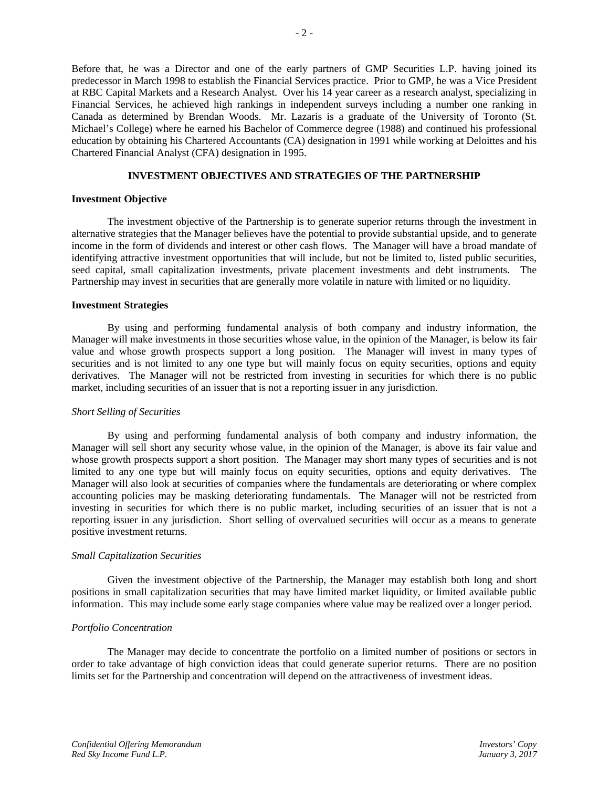Before that, he was a Director and one of the early partners of GMP Securities L.P. having joined its predecessor in March 1998 to establish the Financial Services practice. Prior to GMP, he was a Vice President at RBC Capital Markets and a Research Analyst. Over his 14 year career as a research analyst, specializing in Financial Services, he achieved high rankings in independent surveys including a number one ranking in Canada as determined by Brendan Woods. Mr. Lazaris is a graduate of the University of Toronto (St. Michael's College) where he earned his Bachelor of Commerce degree (1988) and continued his professional education by obtaining his Chartered Accountants (CA) designation in 1991 while working at Deloittes and his Chartered Financial Analyst (CFA) designation in 1995.

# **INVESTMENT OBJECTIVES AND STRATEGIES OF THE PARTNERSHIP**

### **Investment Objective**

The investment objective of the Partnership is to generate superior returns through the investment in alternative strategies that the Manager believes have the potential to provide substantial upside, and to generate income in the form of dividends and interest or other cash flows. The Manager will have a broad mandate of identifying attractive investment opportunities that will include, but not be limited to, listed public securities, seed capital, small capitalization investments, private placement investments and debt instruments. The Partnership may invest in securities that are generally more volatile in nature with limited or no liquidity.

#### **Investment Strategies**

By using and performing fundamental analysis of both company and industry information, the Manager will make investments in those securities whose value, in the opinion of the Manager, is below its fair value and whose growth prospects support a long position. The Manager will invest in many types of securities and is not limited to any one type but will mainly focus on equity securities, options and equity derivatives. The Manager will not be restricted from investing in securities for which there is no public market, including securities of an issuer that is not a reporting issuer in any jurisdiction.

## *Short Selling of Securities*

By using and performing fundamental analysis of both company and industry information, the Manager will sell short any security whose value, in the opinion of the Manager, is above its fair value and whose growth prospects support a short position. The Manager may short many types of securities and is not limited to any one type but will mainly focus on equity securities, options and equity derivatives. The Manager will also look at securities of companies where the fundamentals are deteriorating or where complex accounting policies may be masking deteriorating fundamentals. The Manager will not be restricted from investing in securities for which there is no public market, including securities of an issuer that is not a reporting issuer in any jurisdiction. Short selling of overvalued securities will occur as a means to generate positive investment returns.

## *Small Capitalization Securities*

Given the investment objective of the Partnership, the Manager may establish both long and short positions in small capitalization securities that may have limited market liquidity, or limited available public information. This may include some early stage companies where value may be realized over a longer period.

## *Portfolio Concentration*

The Manager may decide to concentrate the portfolio on a limited number of positions or sectors in order to take advantage of high conviction ideas that could generate superior returns. There are no position limits set for the Partnership and concentration will depend on the attractiveness of investment ideas.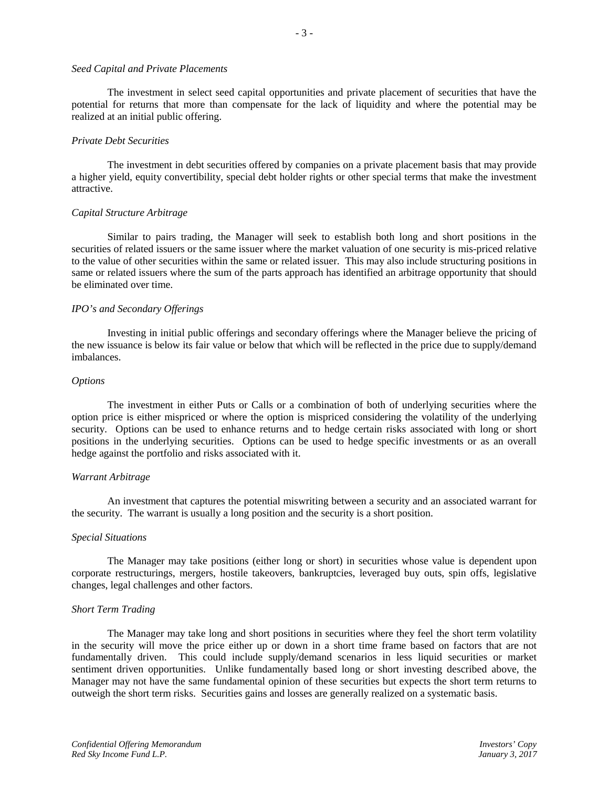#### *Seed Capital and Private Placements*

The investment in select seed capital opportunities and private placement of securities that have the potential for returns that more than compensate for the lack of liquidity and where the potential may be realized at an initial public offering.

#### *Private Debt Securities*

The investment in debt securities offered by companies on a private placement basis that may provide a higher yield, equity convertibility, special debt holder rights or other special terms that make the investment attractive.

#### *Capital Structure Arbitrage*

Similar to pairs trading, the Manager will seek to establish both long and short positions in the securities of related issuers or the same issuer where the market valuation of one security is mis-priced relative to the value of other securities within the same or related issuer. This may also include structuring positions in same or related issuers where the sum of the parts approach has identified an arbitrage opportunity that should be eliminated over time.

# *IPO's and Secondary Offerings*

Investing in initial public offerings and secondary offerings where the Manager believe the pricing of the new issuance is below its fair value or below that which will be reflected in the price due to supply/demand imbalances.

#### *Options*

The investment in either Puts or Calls or a combination of both of underlying securities where the option price is either mispriced or where the option is mispriced considering the volatility of the underlying security. Options can be used to enhance returns and to hedge certain risks associated with long or short positions in the underlying securities. Options can be used to hedge specific investments or as an overall hedge against the portfolio and risks associated with it.

#### *Warrant Arbitrage*

An investment that captures the potential miswriting between a security and an associated warrant for the security. The warrant is usually a long position and the security is a short position.

#### *Special Situations*

The Manager may take positions (either long or short) in securities whose value is dependent upon corporate restructurings, mergers, hostile takeovers, bankruptcies, leveraged buy outs, spin offs, legislative changes, legal challenges and other factors.

#### *Short Term Trading*

The Manager may take long and short positions in securities where they feel the short term volatility in the security will move the price either up or down in a short time frame based on factors that are not fundamentally driven. This could include supply/demand scenarios in less liquid securities or market sentiment driven opportunities. Unlike fundamentally based long or short investing described above, the Manager may not have the same fundamental opinion of these securities but expects the short term returns to outweigh the short term risks. Securities gains and losses are generally realized on a systematic basis.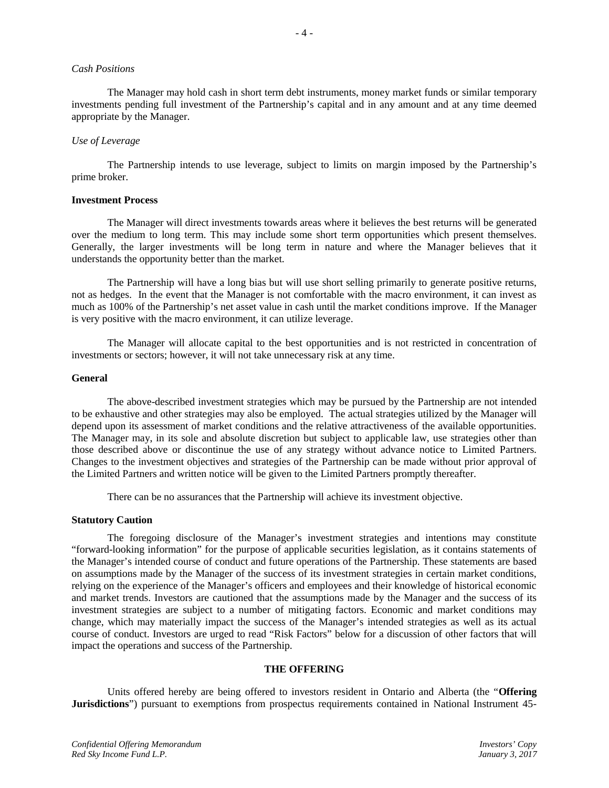#### *Cash Positions*

The Manager may hold cash in short term debt instruments, money market funds or similar temporary investments pending full investment of the Partnership's capital and in any amount and at any time deemed appropriate by the Manager.

- 4 -

#### *Use of Leverage*

The Partnership intends to use leverage, subject to limits on margin imposed by the Partnership's prime broker.

#### **Investment Process**

The Manager will direct investments towards areas where it believes the best returns will be generated over the medium to long term. This may include some short term opportunities which present themselves. Generally, the larger investments will be long term in nature and where the Manager believes that it understands the opportunity better than the market.

The Partnership will have a long bias but will use short selling primarily to generate positive returns, not as hedges. In the event that the Manager is not comfortable with the macro environment, it can invest as much as 100% of the Partnership's net asset value in cash until the market conditions improve. If the Manager is very positive with the macro environment, it can utilize leverage.

The Manager will allocate capital to the best opportunities and is not restricted in concentration of investments or sectors; however, it will not take unnecessary risk at any time.

#### **General**

The above-described investment strategies which may be pursued by the Partnership are not intended to be exhaustive and other strategies may also be employed. The actual strategies utilized by the Manager will depend upon its assessment of market conditions and the relative attractiveness of the available opportunities. The Manager may, in its sole and absolute discretion but subject to applicable law, use strategies other than those described above or discontinue the use of any strategy without advance notice to Limited Partners. Changes to the investment objectives and strategies of the Partnership can be made without prior approval of the Limited Partners and written notice will be given to the Limited Partners promptly thereafter.

There can be no assurances that the Partnership will achieve its investment objective.

#### **Statutory Caution**

The foregoing disclosure of the Manager's investment strategies and intentions may constitute "forward-looking information" for the purpose of applicable securities legislation, as it contains statements of the Manager's intended course of conduct and future operations of the Partnership. These statements are based on assumptions made by the Manager of the success of its investment strategies in certain market conditions, relying on the experience of the Manager's officers and employees and their knowledge of historical economic and market trends. Investors are cautioned that the assumptions made by the Manager and the success of its investment strategies are subject to a number of mitigating factors. Economic and market conditions may change, which may materially impact the success of the Manager's intended strategies as well as its actual course of conduct. Investors are urged to read "Risk Factors" below for a discussion of other factors that will impact the operations and success of the Partnership.

## **THE OFFERING**

Units offered hereby are being offered to investors resident in Ontario and Alberta (the "**Offering Jurisdictions**") pursuant to exemptions from prospectus requirements contained in National Instrument 45-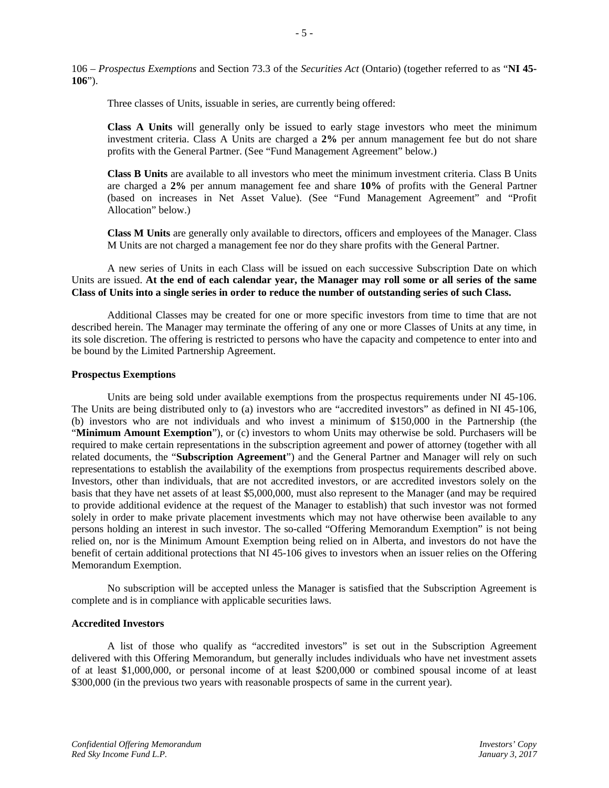106 – *Prospectus Exemptions* and Section 73.3 of the *Securities Act* (Ontario) (together referred to as "**NI 45- 106**").

Three classes of Units, issuable in series, are currently being offered:

**Class A Units** will generally only be issued to early stage investors who meet the minimum investment criteria. Class A Units are charged a **2%** per annum management fee but do not share profits with the General Partner. (See "Fund Management Agreement" below.)

**Class B Units** are available to all investors who meet the minimum investment criteria. Class B Units are charged a **2%** per annum management fee and share **10%** of profits with the General Partner (based on increases in Net Asset Value). (See "Fund Management Agreement" and "Profit Allocation" below.)

**Class M Units** are generally only available to directors, officers and employees of the Manager. Class M Units are not charged a management fee nor do they share profits with the General Partner.

A new series of Units in each Class will be issued on each successive Subscription Date on which Units are issued. **At the end of each calendar year, the Manager may roll some or all series of the same Class of Units into a single series in order to reduce the number of outstanding series of such Class.**

Additional Classes may be created for one or more specific investors from time to time that are not described herein. The Manager may terminate the offering of any one or more Classes of Units at any time, in its sole discretion. The offering is restricted to persons who have the capacity and competence to enter into and be bound by the Limited Partnership Agreement.

#### **Prospectus Exemptions**

Units are being sold under available exemptions from the prospectus requirements under NI 45-106. The Units are being distributed only to (a) investors who are "accredited investors" as defined in NI 45-106, (b) investors who are not individuals and who invest a minimum of \$150,000 in the Partnership (the "**Minimum Amount Exemption**"), or (c) investors to whom Units may otherwise be sold. Purchasers will be required to make certain representations in the subscription agreement and power of attorney (together with all related documents, the "**Subscription Agreement**") and the General Partner and Manager will rely on such representations to establish the availability of the exemptions from prospectus requirements described above. Investors, other than individuals, that are not accredited investors, or are accredited investors solely on the basis that they have net assets of at least \$5,000,000, must also represent to the Manager (and may be required to provide additional evidence at the request of the Manager to establish) that such investor was not formed solely in order to make private placement investments which may not have otherwise been available to any persons holding an interest in such investor. The so-called "Offering Memorandum Exemption" is not being relied on, nor is the Minimum Amount Exemption being relied on in Alberta, and investors do not have the benefit of certain additional protections that NI 45-106 gives to investors when an issuer relies on the Offering Memorandum Exemption.

No subscription will be accepted unless the Manager is satisfied that the Subscription Agreement is complete and is in compliance with applicable securities laws.

# **Accredited Investors**

A list of those who qualify as "accredited investors" is set out in the Subscription Agreement delivered with this Offering Memorandum, but generally includes individuals who have net investment assets of at least \$1,000,000, or personal income of at least \$200,000 or combined spousal income of at least \$300,000 (in the previous two years with reasonable prospects of same in the current year).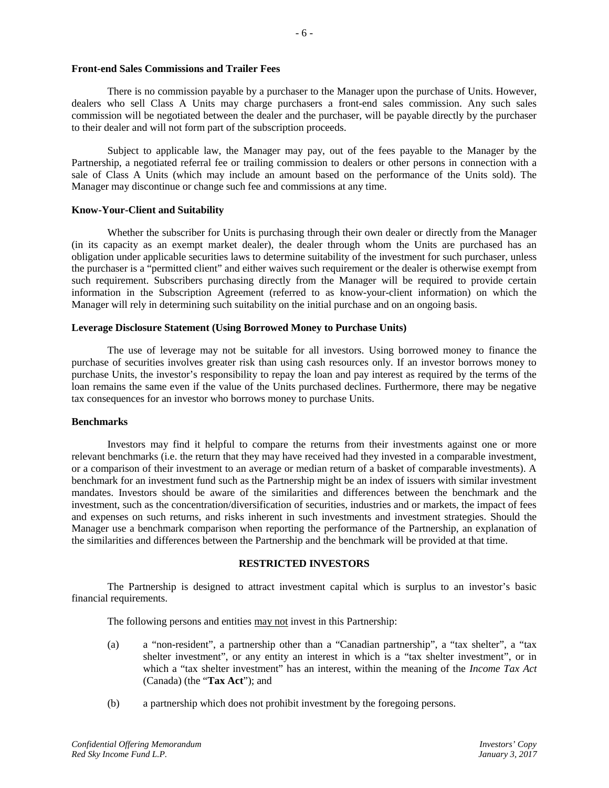#### **Front-end Sales Commissions and Trailer Fees**

There is no commission payable by a purchaser to the Manager upon the purchase of Units. However, dealers who sell Class A Units may charge purchasers a front-end sales commission. Any such sales commission will be negotiated between the dealer and the purchaser, will be payable directly by the purchaser to their dealer and will not form part of the subscription proceeds.

Subject to applicable law, the Manager may pay, out of the fees payable to the Manager by the Partnership, a negotiated referral fee or trailing commission to dealers or other persons in connection with a sale of Class A Units (which may include an amount based on the performance of the Units sold). The Manager may discontinue or change such fee and commissions at any time.

#### **Know-Your-Client and Suitability**

Whether the subscriber for Units is purchasing through their own dealer or directly from the Manager (in its capacity as an exempt market dealer), the dealer through whom the Units are purchased has an obligation under applicable securities laws to determine suitability of the investment for such purchaser, unless the purchaser is a "permitted client" and either waives such requirement or the dealer is otherwise exempt from such requirement. Subscribers purchasing directly from the Manager will be required to provide certain information in the Subscription Agreement (referred to as know-your-client information) on which the Manager will rely in determining such suitability on the initial purchase and on an ongoing basis.

#### **Leverage Disclosure Statement (Using Borrowed Money to Purchase Units)**

The use of leverage may not be suitable for all investors. Using borrowed money to finance the purchase of securities involves greater risk than using cash resources only. If an investor borrows money to purchase Units, the investor's responsibility to repay the loan and pay interest as required by the terms of the loan remains the same even if the value of the Units purchased declines. Furthermore, there may be negative tax consequences for an investor who borrows money to purchase Units.

## **Benchmarks**

Investors may find it helpful to compare the returns from their investments against one or more relevant benchmarks (i.e. the return that they may have received had they invested in a comparable investment, or a comparison of their investment to an average or median return of a basket of comparable investments). A benchmark for an investment fund such as the Partnership might be an index of issuers with similar investment mandates. Investors should be aware of the similarities and differences between the benchmark and the investment, such as the concentration/diversification of securities, industries and or markets, the impact of fees and expenses on such returns, and risks inherent in such investments and investment strategies. Should the Manager use a benchmark comparison when reporting the performance of the Partnership, an explanation of the similarities and differences between the Partnership and the benchmark will be provided at that time.

## **RESTRICTED INVESTORS**

The Partnership is designed to attract investment capital which is surplus to an investor's basic financial requirements.

The following persons and entities may not invest in this Partnership:

- (a) a "non-resident", a partnership other than a "Canadian partnership", a "tax shelter", a "tax shelter investment", or any entity an interest in which is a "tax shelter investment", or in which a "tax shelter investment" has an interest, within the meaning of the *Income Tax Act* (Canada) (the "**Tax Act**"); and
- (b) a partnership which does not prohibit investment by the foregoing persons.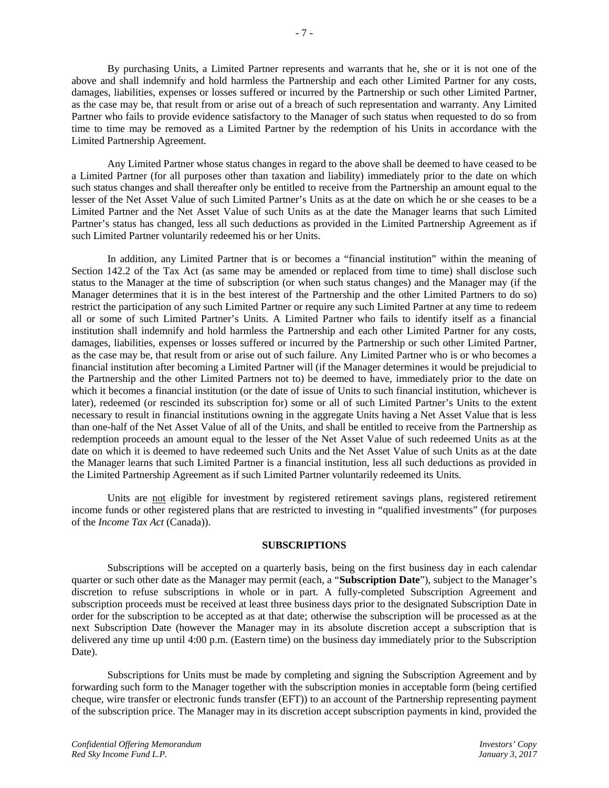By purchasing Units, a Limited Partner represents and warrants that he, she or it is not one of the above and shall indemnify and hold harmless the Partnership and each other Limited Partner for any costs, damages, liabilities, expenses or losses suffered or incurred by the Partnership or such other Limited Partner, as the case may be, that result from or arise out of a breach of such representation and warranty. Any Limited Partner who fails to provide evidence satisfactory to the Manager of such status when requested to do so from time to time may be removed as a Limited Partner by the redemption of his Units in accordance with the Limited Partnership Agreement.

Any Limited Partner whose status changes in regard to the above shall be deemed to have ceased to be a Limited Partner (for all purposes other than taxation and liability) immediately prior to the date on which such status changes and shall thereafter only be entitled to receive from the Partnership an amount equal to the lesser of the Net Asset Value of such Limited Partner's Units as at the date on which he or she ceases to be a Limited Partner and the Net Asset Value of such Units as at the date the Manager learns that such Limited Partner's status has changed, less all such deductions as provided in the Limited Partnership Agreement as if such Limited Partner voluntarily redeemed his or her Units.

In addition, any Limited Partner that is or becomes a "financial institution" within the meaning of Section 142.2 of the Tax Act (as same may be amended or replaced from time to time) shall disclose such status to the Manager at the time of subscription (or when such status changes) and the Manager may (if the Manager determines that it is in the best interest of the Partnership and the other Limited Partners to do so) restrict the participation of any such Limited Partner or require any such Limited Partner at any time to redeem all or some of such Limited Partner's Units. A Limited Partner who fails to identify itself as a financial institution shall indemnify and hold harmless the Partnership and each other Limited Partner for any costs, damages, liabilities, expenses or losses suffered or incurred by the Partnership or such other Limited Partner, as the case may be, that result from or arise out of such failure. Any Limited Partner who is or who becomes a financial institution after becoming a Limited Partner will (if the Manager determines it would be prejudicial to the Partnership and the other Limited Partners not to) be deemed to have, immediately prior to the date on which it becomes a financial institution (or the date of issue of Units to such financial institution, whichever is later), redeemed (or rescinded its subscription for) some or all of such Limited Partner's Units to the extent necessary to result in financial institutions owning in the aggregate Units having a Net Asset Value that is less than one-half of the Net Asset Value of all of the Units, and shall be entitled to receive from the Partnership as redemption proceeds an amount equal to the lesser of the Net Asset Value of such redeemed Units as at the date on which it is deemed to have redeemed such Units and the Net Asset Value of such Units as at the date the Manager learns that such Limited Partner is a financial institution, less all such deductions as provided in the Limited Partnership Agreement as if such Limited Partner voluntarily redeemed its Units.

Units are not eligible for investment by registered retirement savings plans, registered retirement income funds or other registered plans that are restricted to investing in "qualified investments" (for purposes of the *Income Tax Act* (Canada)).

#### **SUBSCRIPTIONS**

Subscriptions will be accepted on a quarterly basis, being on the first business day in each calendar quarter or such other date as the Manager may permit (each, a "**Subscription Date**"), subject to the Manager's discretion to refuse subscriptions in whole or in part. A fully-completed Subscription Agreement and subscription proceeds must be received at least three business days prior to the designated Subscription Date in order for the subscription to be accepted as at that date; otherwise the subscription will be processed as at the next Subscription Date (however the Manager may in its absolute discretion accept a subscription that is delivered any time up until 4:00 p.m. (Eastern time) on the business day immediately prior to the Subscription Date).

Subscriptions for Units must be made by completing and signing the Subscription Agreement and by forwarding such form to the Manager together with the subscription monies in acceptable form (being certified cheque, wire transfer or electronic funds transfer (EFT)) to an account of the Partnership representing payment of the subscription price. The Manager may in its discretion accept subscription payments in kind, provided the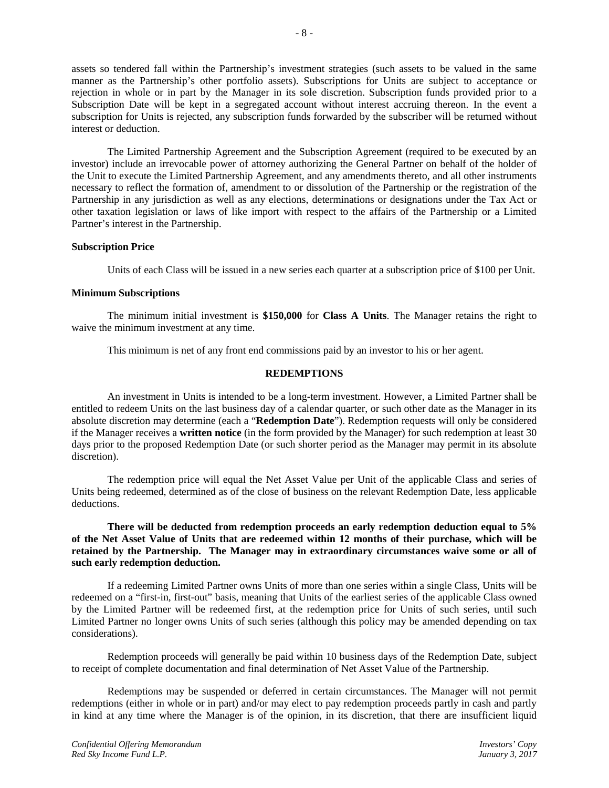assets so tendered fall within the Partnership's investment strategies (such assets to be valued in the same manner as the Partnership's other portfolio assets). Subscriptions for Units are subject to acceptance or rejection in whole or in part by the Manager in its sole discretion. Subscription funds provided prior to a Subscription Date will be kept in a segregated account without interest accruing thereon. In the event a subscription for Units is rejected, any subscription funds forwarded by the subscriber will be returned without interest or deduction.

The Limited Partnership Agreement and the Subscription Agreement (required to be executed by an investor) include an irrevocable power of attorney authorizing the General Partner on behalf of the holder of the Unit to execute the Limited Partnership Agreement, and any amendments thereto, and all other instruments necessary to reflect the formation of, amendment to or dissolution of the Partnership or the registration of the Partnership in any jurisdiction as well as any elections, determinations or designations under the Tax Act or other taxation legislation or laws of like import with respect to the affairs of the Partnership or a Limited Partner's interest in the Partnership.

## **Subscription Price**

Units of each Class will be issued in a new series each quarter at a subscription price of \$100 per Unit.

# **Minimum Subscriptions**

The minimum initial investment is **\$150,000** for **Class A Units**. The Manager retains the right to waive the minimum investment at any time.

This minimum is net of any front end commissions paid by an investor to his or her agent.

## **REDEMPTIONS**

An investment in Units is intended to be a long-term investment. However, a Limited Partner shall be entitled to redeem Units on the last business day of a calendar quarter, or such other date as the Manager in its absolute discretion may determine (each a "**Redemption Date**"). Redemption requests will only be considered if the Manager receives a **written notice** (in the form provided by the Manager) for such redemption at least 30 days prior to the proposed Redemption Date (or such shorter period as the Manager may permit in its absolute discretion).

The redemption price will equal the Net Asset Value per Unit of the applicable Class and series of Units being redeemed, determined as of the close of business on the relevant Redemption Date, less applicable deductions.

## **There will be deducted from redemption proceeds an early redemption deduction equal to 5% of the Net Asset Value of Units that are redeemed within 12 months of their purchase, which will be retained by the Partnership. The Manager may in extraordinary circumstances waive some or all of such early redemption deduction.**

If a redeeming Limited Partner owns Units of more than one series within a single Class, Units will be redeemed on a "first-in, first-out" basis, meaning that Units of the earliest series of the applicable Class owned by the Limited Partner will be redeemed first, at the redemption price for Units of such series, until such Limited Partner no longer owns Units of such series (although this policy may be amended depending on tax considerations).

Redemption proceeds will generally be paid within 10 business days of the Redemption Date, subject to receipt of complete documentation and final determination of Net Asset Value of the Partnership.

Redemptions may be suspended or deferred in certain circumstances. The Manager will not permit redemptions (either in whole or in part) and/or may elect to pay redemption proceeds partly in cash and partly in kind at any time where the Manager is of the opinion, in its discretion, that there are insufficient liquid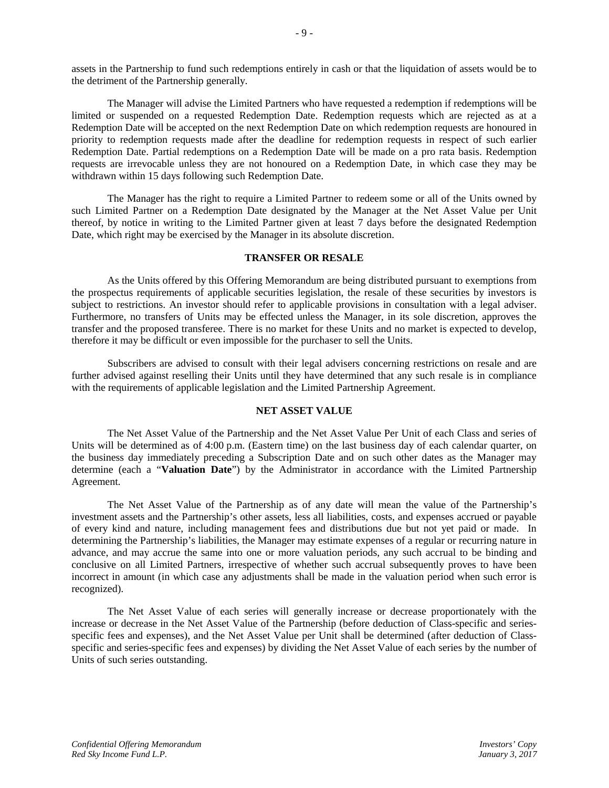assets in the Partnership to fund such redemptions entirely in cash or that the liquidation of assets would be to the detriment of the Partnership generally.

The Manager will advise the Limited Partners who have requested a redemption if redemptions will be limited or suspended on a requested Redemption Date. Redemption requests which are rejected as at a Redemption Date will be accepted on the next Redemption Date on which redemption requests are honoured in priority to redemption requests made after the deadline for redemption requests in respect of such earlier Redemption Date. Partial redemptions on a Redemption Date will be made on a pro rata basis. Redemption requests are irrevocable unless they are not honoured on a Redemption Date, in which case they may be withdrawn within 15 days following such Redemption Date.

The Manager has the right to require a Limited Partner to redeem some or all of the Units owned by such Limited Partner on a Redemption Date designated by the Manager at the Net Asset Value per Unit thereof, by notice in writing to the Limited Partner given at least 7 days before the designated Redemption Date, which right may be exercised by the Manager in its absolute discretion.

## **TRANSFER OR RESALE**

As the Units offered by this Offering Memorandum are being distributed pursuant to exemptions from the prospectus requirements of applicable securities legislation, the resale of these securities by investors is subject to restrictions. An investor should refer to applicable provisions in consultation with a legal adviser. Furthermore, no transfers of Units may be effected unless the Manager, in its sole discretion, approves the transfer and the proposed transferee. There is no market for these Units and no market is expected to develop, therefore it may be difficult or even impossible for the purchaser to sell the Units.

Subscribers are advised to consult with their legal advisers concerning restrictions on resale and are further advised against reselling their Units until they have determined that any such resale is in compliance with the requirements of applicable legislation and the Limited Partnership Agreement.

## **NET ASSET VALUE**

The Net Asset Value of the Partnership and the Net Asset Value Per Unit of each Class and series of Units will be determined as of 4:00 p.m. (Eastern time) on the last business day of each calendar quarter, on the business day immediately preceding a Subscription Date and on such other dates as the Manager may determine (each a "**Valuation Date**") by the Administrator in accordance with the Limited Partnership Agreement.

The Net Asset Value of the Partnership as of any date will mean the value of the Partnership's investment assets and the Partnership's other assets, less all liabilities, costs, and expenses accrued or payable of every kind and nature, including management fees and distributions due but not yet paid or made. In determining the Partnership's liabilities, the Manager may estimate expenses of a regular or recurring nature in advance, and may accrue the same into one or more valuation periods, any such accrual to be binding and conclusive on all Limited Partners, irrespective of whether such accrual subsequently proves to have been incorrect in amount (in which case any adjustments shall be made in the valuation period when such error is recognized).

The Net Asset Value of each series will generally increase or decrease proportionately with the increase or decrease in the Net Asset Value of the Partnership (before deduction of Class-specific and seriesspecific fees and expenses), and the Net Asset Value per Unit shall be determined (after deduction of Classspecific and series-specific fees and expenses) by dividing the Net Asset Value of each series by the number of Units of such series outstanding.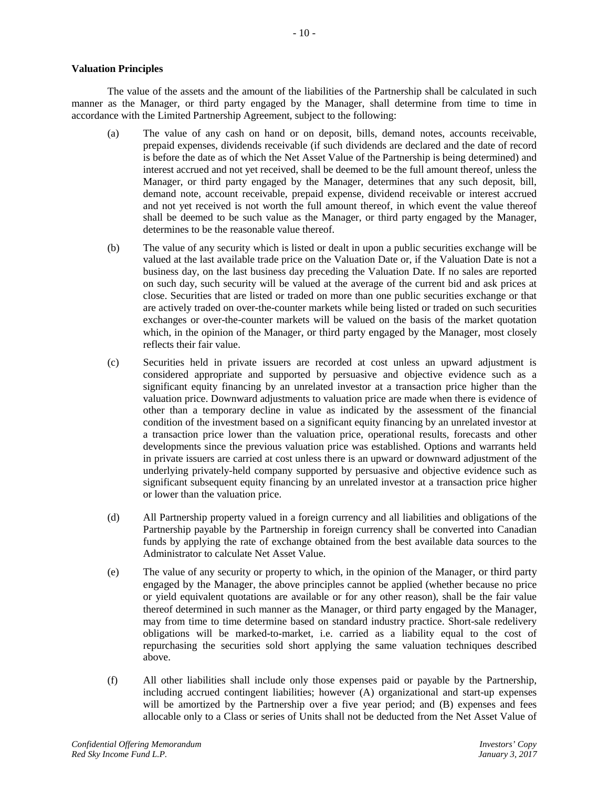# **Valuation Principles**

The value of the assets and the amount of the liabilities of the Partnership shall be calculated in such manner as the Manager, or third party engaged by the Manager, shall determine from time to time in accordance with the Limited Partnership Agreement, subject to the following:

- (a) The value of any cash on hand or on deposit, bills, demand notes, accounts receivable, prepaid expenses, dividends receivable (if such dividends are declared and the date of record is before the date as of which the Net Asset Value of the Partnership is being determined) and interest accrued and not yet received, shall be deemed to be the full amount thereof, unless the Manager, or third party engaged by the Manager, determines that any such deposit, bill, demand note, account receivable, prepaid expense, dividend receivable or interest accrued and not yet received is not worth the full amount thereof, in which event the value thereof shall be deemed to be such value as the Manager, or third party engaged by the Manager, determines to be the reasonable value thereof.
- (b) The value of any security which is listed or dealt in upon a public securities exchange will be valued at the last available trade price on the Valuation Date or, if the Valuation Date is not a business day, on the last business day preceding the Valuation Date. If no sales are reported on such day, such security will be valued at the average of the current bid and ask prices at close. Securities that are listed or traded on more than one public securities exchange or that are actively traded on over-the-counter markets while being listed or traded on such securities exchanges or over-the-counter markets will be valued on the basis of the market quotation which, in the opinion of the Manager, or third party engaged by the Manager, most closely reflects their fair value.
- (c) Securities held in private issuers are recorded at cost unless an upward adjustment is considered appropriate and supported by persuasive and objective evidence such as a significant equity financing by an unrelated investor at a transaction price higher than the valuation price. Downward adjustments to valuation price are made when there is evidence of other than a temporary decline in value as indicated by the assessment of the financial condition of the investment based on a significant equity financing by an unrelated investor at a transaction price lower than the valuation price, operational results, forecasts and other developments since the previous valuation price was established. Options and warrants held in private issuers are carried at cost unless there is an upward or downward adjustment of the underlying privately-held company supported by persuasive and objective evidence such as significant subsequent equity financing by an unrelated investor at a transaction price higher or lower than the valuation price.
- (d) All Partnership property valued in a foreign currency and all liabilities and obligations of the Partnership payable by the Partnership in foreign currency shall be converted into Canadian funds by applying the rate of exchange obtained from the best available data sources to the Administrator to calculate Net Asset Value.
- (e) The value of any security or property to which, in the opinion of the Manager, or third party engaged by the Manager, the above principles cannot be applied (whether because no price or yield equivalent quotations are available or for any other reason), shall be the fair value thereof determined in such manner as the Manager, or third party engaged by the Manager, may from time to time determine based on standard industry practice. Short-sale redelivery obligations will be marked-to-market, i.e. carried as a liability equal to the cost of repurchasing the securities sold short applying the same valuation techniques described above.
- (f) All other liabilities shall include only those expenses paid or payable by the Partnership, including accrued contingent liabilities; however (A) organizational and start-up expenses will be amortized by the Partnership over a five year period; and (B) expenses and fees allocable only to a Class or series of Units shall not be deducted from the Net Asset Value of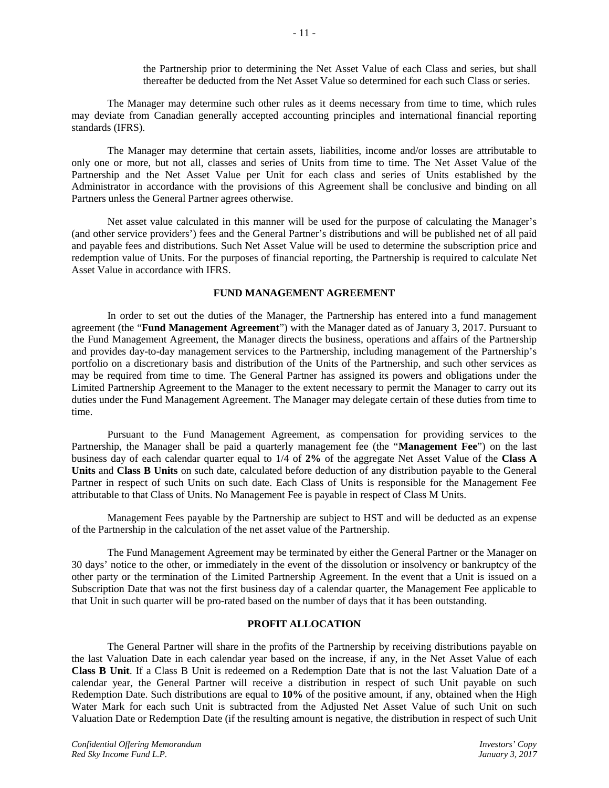the Partnership prior to determining the Net Asset Value of each Class and series, but shall thereafter be deducted from the Net Asset Value so determined for each such Class or series.

The Manager may determine such other rules as it deems necessary from time to time, which rules may deviate from Canadian generally accepted accounting principles and international financial reporting standards (IFRS).

The Manager may determine that certain assets, liabilities, income and/or losses are attributable to only one or more, but not all, classes and series of Units from time to time. The Net Asset Value of the Partnership and the Net Asset Value per Unit for each class and series of Units established by the Administrator in accordance with the provisions of this Agreement shall be conclusive and binding on all Partners unless the General Partner agrees otherwise.

Net asset value calculated in this manner will be used for the purpose of calculating the Manager's (and other service providers') fees and the General Partner's distributions and will be published net of all paid and payable fees and distributions. Such Net Asset Value will be used to determine the subscription price and redemption value of Units. For the purposes of financial reporting, the Partnership is required to calculate Net Asset Value in accordance with IFRS.

# **FUND MANAGEMENT AGREEMENT**

In order to set out the duties of the Manager, the Partnership has entered into a fund management agreement (the "**Fund Management Agreement**") with the Manager dated as of January 3, 2017. Pursuant to the Fund Management Agreement, the Manager directs the business, operations and affairs of the Partnership and provides day-to-day management services to the Partnership, including management of the Partnership's portfolio on a discretionary basis and distribution of the Units of the Partnership, and such other services as may be required from time to time. The General Partner has assigned its powers and obligations under the Limited Partnership Agreement to the Manager to the extent necessary to permit the Manager to carry out its duties under the Fund Management Agreement. The Manager may delegate certain of these duties from time to time.

Pursuant to the Fund Management Agreement, as compensation for providing services to the Partnership, the Manager shall be paid a quarterly management fee (the "**Management Fee**") on the last business day of each calendar quarter equal to 1/4 of **2%** of the aggregate Net Asset Value of the **Class A Units** and **Class B Units** on such date, calculated before deduction of any distribution payable to the General Partner in respect of such Units on such date. Each Class of Units is responsible for the Management Fee attributable to that Class of Units. No Management Fee is payable in respect of Class M Units.

Management Fees payable by the Partnership are subject to HST and will be deducted as an expense of the Partnership in the calculation of the net asset value of the Partnership.

The Fund Management Agreement may be terminated by either the General Partner or the Manager on 30 days' notice to the other, or immediately in the event of the dissolution or insolvency or bankruptcy of the other party or the termination of the Limited Partnership Agreement. In the event that a Unit is issued on a Subscription Date that was not the first business day of a calendar quarter, the Management Fee applicable to that Unit in such quarter will be pro-rated based on the number of days that it has been outstanding.

# **PROFIT ALLOCATION**

The General Partner will share in the profits of the Partnership by receiving distributions payable on the last Valuation Date in each calendar year based on the increase, if any, in the Net Asset Value of each **Class B Unit**. If a Class B Unit is redeemed on a Redemption Date that is not the last Valuation Date of a calendar year, the General Partner will receive a distribution in respect of such Unit payable on such Redemption Date. Such distributions are equal to **10%** of the positive amount, if any, obtained when the High Water Mark for each such Unit is subtracted from the Adjusted Net Asset Value of such Unit on such Valuation Date or Redemption Date (if the resulting amount is negative, the distribution in respect of such Unit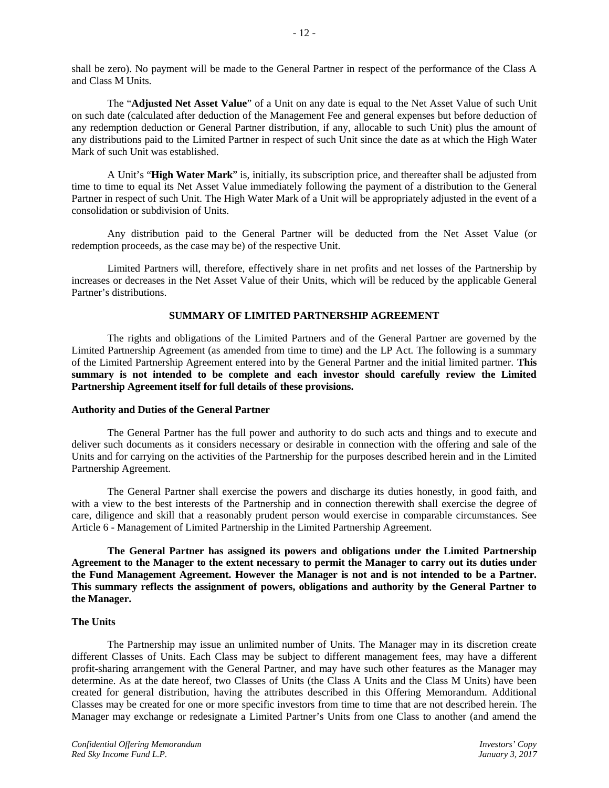shall be zero). No payment will be made to the General Partner in respect of the performance of the Class A and Class M Units.

The "**Adjusted Net Asset Value**" of a Unit on any date is equal to the Net Asset Value of such Unit on such date (calculated after deduction of the Management Fee and general expenses but before deduction of any redemption deduction or General Partner distribution, if any, allocable to such Unit) plus the amount of any distributions paid to the Limited Partner in respect of such Unit since the date as at which the High Water Mark of such Unit was established.

A Unit's "**High Water Mark**" is, initially, its subscription price, and thereafter shall be adjusted from time to time to equal its Net Asset Value immediately following the payment of a distribution to the General Partner in respect of such Unit. The High Water Mark of a Unit will be appropriately adjusted in the event of a consolidation or subdivision of Units.

Any distribution paid to the General Partner will be deducted from the Net Asset Value (or redemption proceeds, as the case may be) of the respective Unit.

Limited Partners will, therefore, effectively share in net profits and net losses of the Partnership by increases or decreases in the Net Asset Value of their Units, which will be reduced by the applicable General Partner's distributions.

#### **SUMMARY OF LIMITED PARTNERSHIP AGREEMENT**

The rights and obligations of the Limited Partners and of the General Partner are governed by the Limited Partnership Agreement (as amended from time to time) and the LP Act. The following is a summary of the Limited Partnership Agreement entered into by the General Partner and the initial limited partner. **This summary is not intended to be complete and each investor should carefully review the Limited Partnership Agreement itself for full details of these provisions.**

#### **Authority and Duties of the General Partner**

The General Partner has the full power and authority to do such acts and things and to execute and deliver such documents as it considers necessary or desirable in connection with the offering and sale of the Units and for carrying on the activities of the Partnership for the purposes described herein and in the Limited Partnership Agreement.

The General Partner shall exercise the powers and discharge its duties honestly, in good faith, and with a view to the best interests of the Partnership and in connection therewith shall exercise the degree of care, diligence and skill that a reasonably prudent person would exercise in comparable circumstances. See Article 6 - Management of Limited Partnership in the Limited Partnership Agreement.

**The General Partner has assigned its powers and obligations under the Limited Partnership Agreement to the Manager to the extent necessary to permit the Manager to carry out its duties under the Fund Management Agreement. However the Manager is not and is not intended to be a Partner. This summary reflects the assignment of powers, obligations and authority by the General Partner to the Manager.**

## **The Units**

The Partnership may issue an unlimited number of Units. The Manager may in its discretion create different Classes of Units. Each Class may be subject to different management fees, may have a different profit-sharing arrangement with the General Partner, and may have such other features as the Manager may determine. As at the date hereof, two Classes of Units (the Class A Units and the Class M Units) have been created for general distribution, having the attributes described in this Offering Memorandum. Additional Classes may be created for one or more specific investors from time to time that are not described herein. The Manager may exchange or redesignate a Limited Partner's Units from one Class to another (and amend the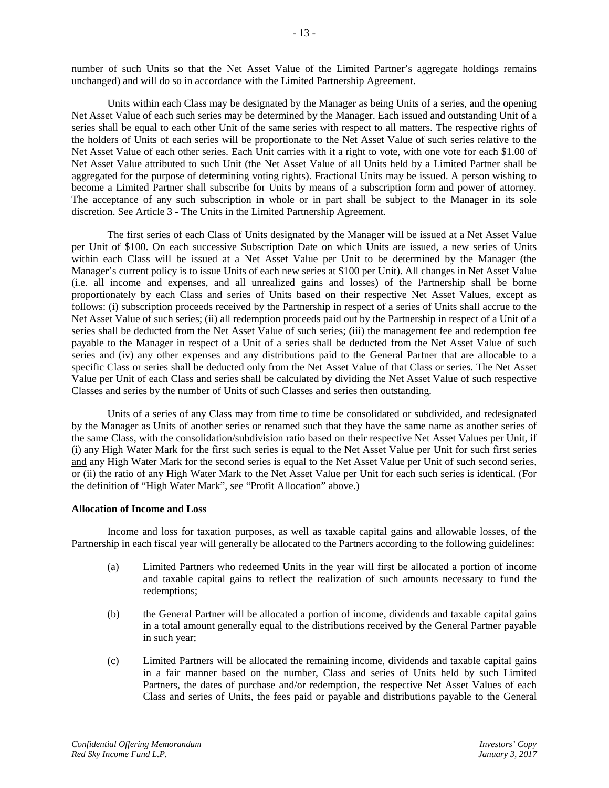number of such Units so that the Net Asset Value of the Limited Partner's aggregate holdings remains unchanged) and will do so in accordance with the Limited Partnership Agreement.

Units within each Class may be designated by the Manager as being Units of a series, and the opening Net Asset Value of each such series may be determined by the Manager. Each issued and outstanding Unit of a series shall be equal to each other Unit of the same series with respect to all matters. The respective rights of the holders of Units of each series will be proportionate to the Net Asset Value of such series relative to the Net Asset Value of each other series. Each Unit carries with it a right to vote, with one vote for each \$1.00 of Net Asset Value attributed to such Unit (the Net Asset Value of all Units held by a Limited Partner shall be aggregated for the purpose of determining voting rights). Fractional Units may be issued. A person wishing to become a Limited Partner shall subscribe for Units by means of a subscription form and power of attorney. The acceptance of any such subscription in whole or in part shall be subject to the Manager in its sole discretion. See Article 3 - The Units in the Limited Partnership Agreement.

The first series of each Class of Units designated by the Manager will be issued at a Net Asset Value per Unit of \$100. On each successive Subscription Date on which Units are issued, a new series of Units within each Class will be issued at a Net Asset Value per Unit to be determined by the Manager (the Manager's current policy is to issue Units of each new series at \$100 per Unit). All changes in Net Asset Value (i.e. all income and expenses, and all unrealized gains and losses) of the Partnership shall be borne proportionately by each Class and series of Units based on their respective Net Asset Values, except as follows: (i) subscription proceeds received by the Partnership in respect of a series of Units shall accrue to the Net Asset Value of such series; (ii) all redemption proceeds paid out by the Partnership in respect of a Unit of a series shall be deducted from the Net Asset Value of such series; (iii) the management fee and redemption fee payable to the Manager in respect of a Unit of a series shall be deducted from the Net Asset Value of such series and (iv) any other expenses and any distributions paid to the General Partner that are allocable to a specific Class or series shall be deducted only from the Net Asset Value of that Class or series. The Net Asset Value per Unit of each Class and series shall be calculated by dividing the Net Asset Value of such respective Classes and series by the number of Units of such Classes and series then outstanding.

Units of a series of any Class may from time to time be consolidated or subdivided, and redesignated by the Manager as Units of another series or renamed such that they have the same name as another series of the same Class, with the consolidation/subdivision ratio based on their respective Net Asset Values per Unit, if (i) any High Water Mark for the first such series is equal to the Net Asset Value per Unit for such first series and any High Water Mark for the second series is equal to the Net Asset Value per Unit of such second series, or (ii) the ratio of any High Water Mark to the Net Asset Value per Unit for each such series is identical. (For the definition of "High Water Mark", see "Profit Allocation" above.)

## **Allocation of Income and Loss**

Income and loss for taxation purposes, as well as taxable capital gains and allowable losses, of the Partnership in each fiscal year will generally be allocated to the Partners according to the following guidelines:

- (a) Limited Partners who redeemed Units in the year will first be allocated a portion of income and taxable capital gains to reflect the realization of such amounts necessary to fund the redemptions;
- (b) the General Partner will be allocated a portion of income, dividends and taxable capital gains in a total amount generally equal to the distributions received by the General Partner payable in such year;
- (c) Limited Partners will be allocated the remaining income, dividends and taxable capital gains in a fair manner based on the number, Class and series of Units held by such Limited Partners, the dates of purchase and/or redemption, the respective Net Asset Values of each Class and series of Units, the fees paid or payable and distributions payable to the General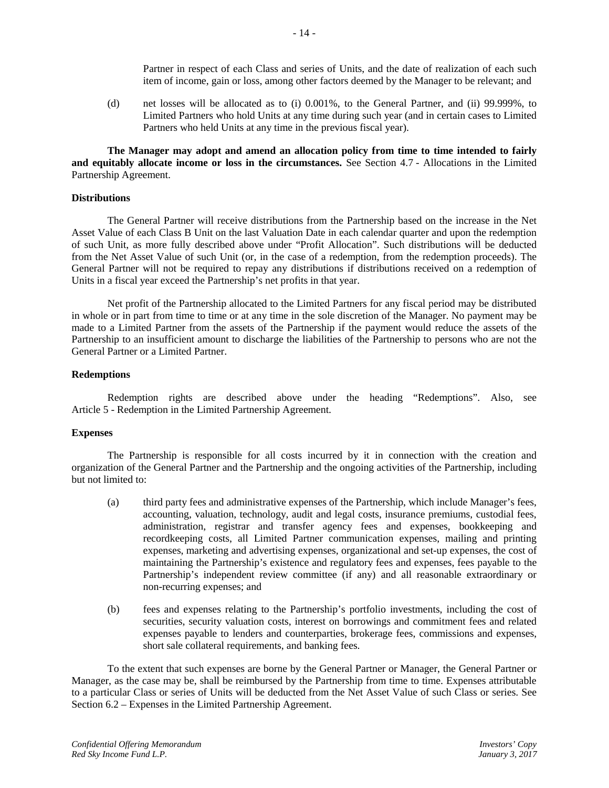Partner in respect of each Class and series of Units, and the date of realization of each such item of income, gain or loss, among other factors deemed by the Manager to be relevant; and

(d) net losses will be allocated as to (i) 0.001%, to the General Partner, and (ii) 99.999%, to Limited Partners who hold Units at any time during such year (and in certain cases to Limited Partners who held Units at any time in the previous fiscal year).

**The Manager may adopt and amend an allocation policy from time to time intended to fairly and equitably allocate income or loss in the circumstances.** See Section 4.7 - Allocations in the Limited Partnership Agreement.

#### **Distributions**

The General Partner will receive distributions from the Partnership based on the increase in the Net Asset Value of each Class B Unit on the last Valuation Date in each calendar quarter and upon the redemption of such Unit, as more fully described above under "Profit Allocation". Such distributions will be deducted from the Net Asset Value of such Unit (or, in the case of a redemption, from the redemption proceeds). The General Partner will not be required to repay any distributions if distributions received on a redemption of Units in a fiscal year exceed the Partnership's net profits in that year.

Net profit of the Partnership allocated to the Limited Partners for any fiscal period may be distributed in whole or in part from time to time or at any time in the sole discretion of the Manager. No payment may be made to a Limited Partner from the assets of the Partnership if the payment would reduce the assets of the Partnership to an insufficient amount to discharge the liabilities of the Partnership to persons who are not the General Partner or a Limited Partner.

#### **Redemptions**

Redemption rights are described above under the heading "Redemptions". Also, see Article 5 - Redemption in the Limited Partnership Agreement.

#### **Expenses**

The Partnership is responsible for all costs incurred by it in connection with the creation and organization of the General Partner and the Partnership and the ongoing activities of the Partnership, including but not limited to:

- (a) third party fees and administrative expenses of the Partnership, which include Manager's fees, accounting, valuation, technology, audit and legal costs, insurance premiums, custodial fees, administration, registrar and transfer agency fees and expenses, bookkeeping and recordkeeping costs, all Limited Partner communication expenses, mailing and printing expenses, marketing and advertising expenses, organizational and set-up expenses, the cost of maintaining the Partnership's existence and regulatory fees and expenses, fees payable to the Partnership's independent review committee (if any) and all reasonable extraordinary or non-recurring expenses; and
- (b) fees and expenses relating to the Partnership's portfolio investments, including the cost of securities, security valuation costs, interest on borrowings and commitment fees and related expenses payable to lenders and counterparties, brokerage fees, commissions and expenses, short sale collateral requirements, and banking fees.

To the extent that such expenses are borne by the General Partner or Manager, the General Partner or Manager, as the case may be, shall be reimbursed by the Partnership from time to time. Expenses attributable to a particular Class or series of Units will be deducted from the Net Asset Value of such Class or series. See Section 6.2 – Expenses in the Limited Partnership Agreement.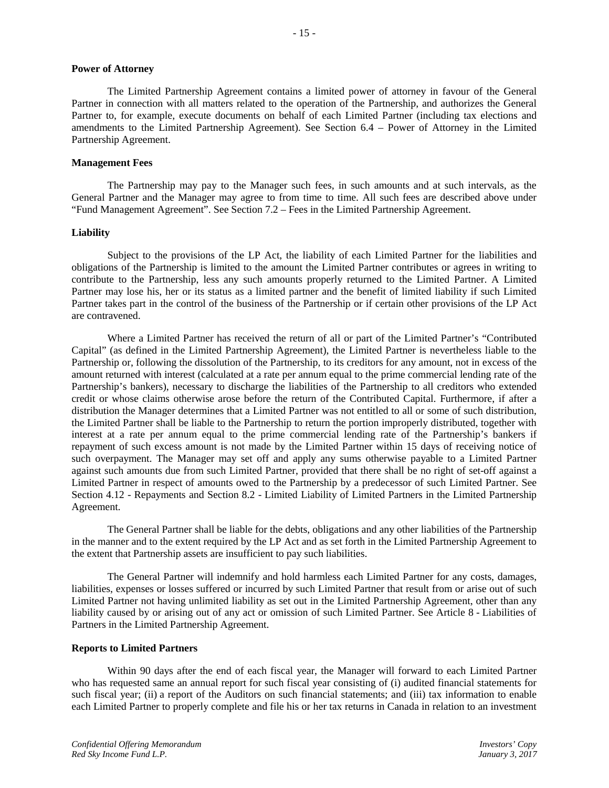## **Power of Attorney**

The Limited Partnership Agreement contains a limited power of attorney in favour of the General Partner in connection with all matters related to the operation of the Partnership, and authorizes the General Partner to, for example, execute documents on behalf of each Limited Partner (including tax elections and amendments to the Limited Partnership Agreement). See Section 6.4 – Power of Attorney in the Limited Partnership Agreement.

## **Management Fees**

The Partnership may pay to the Manager such fees, in such amounts and at such intervals, as the General Partner and the Manager may agree to from time to time. All such fees are described above under "Fund Management Agreement". See Section 7.2 – Fees in the Limited Partnership Agreement.

## **Liability**

Subject to the provisions of the LP Act, the liability of each Limited Partner for the liabilities and obligations of the Partnership is limited to the amount the Limited Partner contributes or agrees in writing to contribute to the Partnership, less any such amounts properly returned to the Limited Partner. A Limited Partner may lose his, her or its status as a limited partner and the benefit of limited liability if such Limited Partner takes part in the control of the business of the Partnership or if certain other provisions of the LP Act are contravened.

Where a Limited Partner has received the return of all or part of the Limited Partner's "Contributed Capital" (as defined in the Limited Partnership Agreement), the Limited Partner is nevertheless liable to the Partnership or, following the dissolution of the Partnership, to its creditors for any amount, not in excess of the amount returned with interest (calculated at a rate per annum equal to the prime commercial lending rate of the Partnership's bankers), necessary to discharge the liabilities of the Partnership to all creditors who extended credit or whose claims otherwise arose before the return of the Contributed Capital. Furthermore, if after a distribution the Manager determines that a Limited Partner was not entitled to all or some of such distribution, the Limited Partner shall be liable to the Partnership to return the portion improperly distributed, together with interest at a rate per annum equal to the prime commercial lending rate of the Partnership's bankers if repayment of such excess amount is not made by the Limited Partner within 15 days of receiving notice of such overpayment. The Manager may set off and apply any sums otherwise payable to a Limited Partner against such amounts due from such Limited Partner, provided that there shall be no right of set-off against a Limited Partner in respect of amounts owed to the Partnership by a predecessor of such Limited Partner. See Section 4.12 - Repayments and Section 8.2 - Limited Liability of Limited Partners in the Limited Partnership Agreement.

The General Partner shall be liable for the debts, obligations and any other liabilities of the Partnership in the manner and to the extent required by the LP Act and as set forth in the Limited Partnership Agreement to the extent that Partnership assets are insufficient to pay such liabilities.

The General Partner will indemnify and hold harmless each Limited Partner for any costs, damages, liabilities, expenses or losses suffered or incurred by such Limited Partner that result from or arise out of such Limited Partner not having unlimited liability as set out in the Limited Partnership Agreement, other than any liability caused by or arising out of any act or omission of such Limited Partner. See Article 8 - Liabilities of Partners in the Limited Partnership Agreement.

## **Reports to Limited Partners**

Within 90 days after the end of each fiscal year, the Manager will forward to each Limited Partner who has requested same an annual report for such fiscal year consisting of (i) audited financial statements for such fiscal year; (ii) a report of the Auditors on such financial statements; and (iii) tax information to enable each Limited Partner to properly complete and file his or her tax returns in Canada in relation to an investment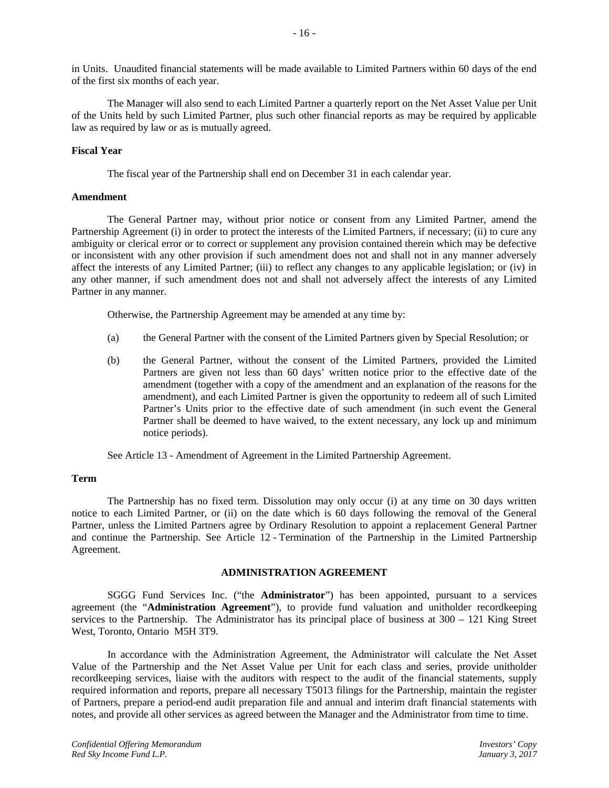in Units. Unaudited financial statements will be made available to Limited Partners within 60 days of the end of the first six months of each year.

The Manager will also send to each Limited Partner a quarterly report on the Net Asset Value per Unit of the Units held by such Limited Partner, plus such other financial reports as may be required by applicable law as required by law or as is mutually agreed.

## **Fiscal Year**

The fiscal year of the Partnership shall end on December 31 in each calendar year.

# **Amendment**

The General Partner may, without prior notice or consent from any Limited Partner, amend the Partnership Agreement (i) in order to protect the interests of the Limited Partners, if necessary; (ii) to cure any ambiguity or clerical error or to correct or supplement any provision contained therein which may be defective or inconsistent with any other provision if such amendment does not and shall not in any manner adversely affect the interests of any Limited Partner; (iii) to reflect any changes to any applicable legislation; or (iv) in any other manner, if such amendment does not and shall not adversely affect the interests of any Limited Partner in any manner.

Otherwise, the Partnership Agreement may be amended at any time by:

- (a) the General Partner with the consent of the Limited Partners given by Special Resolution; or
- (b) the General Partner, without the consent of the Limited Partners, provided the Limited Partners are given not less than 60 days' written notice prior to the effective date of the amendment (together with a copy of the amendment and an explanation of the reasons for the amendment), and each Limited Partner is given the opportunity to redeem all of such Limited Partner's Units prior to the effective date of such amendment (in such event the General Partner shall be deemed to have waived, to the extent necessary, any lock up and minimum notice periods).

See Article 13 - Amendment of Agreement in the Limited Partnership Agreement.

## **Term**

The Partnership has no fixed term. Dissolution may only occur (i) at any time on 30 days written notice to each Limited Partner, or (ii) on the date which is 60 days following the removal of the General Partner, unless the Limited Partners agree by Ordinary Resolution to appoint a replacement General Partner and continue the Partnership. See Article 12 - Termination of the Partnership in the Limited Partnership Agreement.

## **ADMINISTRATION AGREEMENT**

SGGG Fund Services Inc. ("the **Administrator**") has been appointed, pursuant to a services agreement (the "**Administration Agreement**"), to provide fund valuation and unitholder recordkeeping services to the Partnership. The Administrator has its principal place of business at 300 – 121 King Street West, Toronto, Ontario M5H 3T9.

In accordance with the Administration Agreement, the Administrator will calculate the Net Asset Value of the Partnership and the Net Asset Value per Unit for each class and series, provide unitholder recordkeeping services, liaise with the auditors with respect to the audit of the financial statements, supply required information and reports, prepare all necessary T5013 filings for the Partnership, maintain the register of Partners, prepare a period-end audit preparation file and annual and interim draft financial statements with notes, and provide all other services as agreed between the Manager and the Administrator from time to time.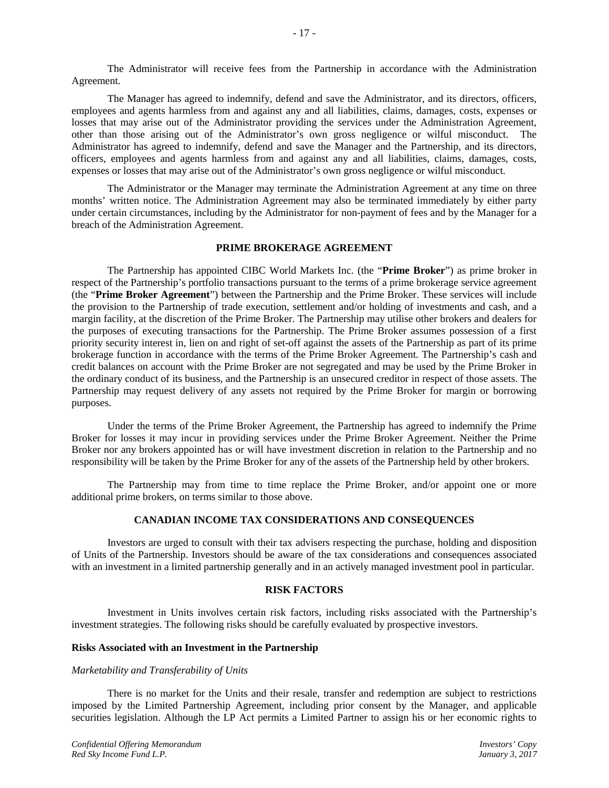The Administrator will receive fees from the Partnership in accordance with the Administration Agreement.

The Manager has agreed to indemnify, defend and save the Administrator, and its directors, officers, employees and agents harmless from and against any and all liabilities, claims, damages, costs, expenses or losses that may arise out of the Administrator providing the services under the Administration Agreement, other than those arising out of the Administrator's own gross negligence or wilful misconduct. The Administrator has agreed to indemnify, defend and save the Manager and the Partnership, and its directors, officers, employees and agents harmless from and against any and all liabilities, claims, damages, costs, expenses or losses that may arise out of the Administrator's own gross negligence or wilful misconduct.

The Administrator or the Manager may terminate the Administration Agreement at any time on three months' written notice. The Administration Agreement may also be terminated immediately by either party under certain circumstances, including by the Administrator for non-payment of fees and by the Manager for a breach of the Administration Agreement.

## **PRIME BROKERAGE AGREEMENT**

The Partnership has appointed CIBC World Markets Inc. (the "**Prime Broker**") as prime broker in respect of the Partnership's portfolio transactions pursuant to the terms of a prime brokerage service agreement (the "**Prime Broker Agreement**") between the Partnership and the Prime Broker. These services will include the provision to the Partnership of trade execution, settlement and/or holding of investments and cash, and a margin facility, at the discretion of the Prime Broker. The Partnership may utilise other brokers and dealers for the purposes of executing transactions for the Partnership. The Prime Broker assumes possession of a first priority security interest in, lien on and right of set-off against the assets of the Partnership as part of its prime brokerage function in accordance with the terms of the Prime Broker Agreement. The Partnership's cash and credit balances on account with the Prime Broker are not segregated and may be used by the Prime Broker in the ordinary conduct of its business, and the Partnership is an unsecured creditor in respect of those assets. The Partnership may request delivery of any assets not required by the Prime Broker for margin or borrowing purposes.

Under the terms of the Prime Broker Agreement, the Partnership has agreed to indemnify the Prime Broker for losses it may incur in providing services under the Prime Broker Agreement. Neither the Prime Broker nor any brokers appointed has or will have investment discretion in relation to the Partnership and no responsibility will be taken by the Prime Broker for any of the assets of the Partnership held by other brokers.

The Partnership may from time to time replace the Prime Broker, and/or appoint one or more additional prime brokers, on terms similar to those above.

# **CANADIAN INCOME TAX CONSIDERATIONS AND CONSEQUENCES**

Investors are urged to consult with their tax advisers respecting the purchase, holding and disposition of Units of the Partnership. Investors should be aware of the tax considerations and consequences associated with an investment in a limited partnership generally and in an actively managed investment pool in particular.

#### **RISK FACTORS**

Investment in Units involves certain risk factors, including risks associated with the Partnership's investment strategies. The following risks should be carefully evaluated by prospective investors.

#### **Risks Associated with an Investment in the Partnership**

## *Marketability and Transferability of Units*

There is no market for the Units and their resale, transfer and redemption are subject to restrictions imposed by the Limited Partnership Agreement, including prior consent by the Manager, and applicable securities legislation. Although the LP Act permits a Limited Partner to assign his or her economic rights to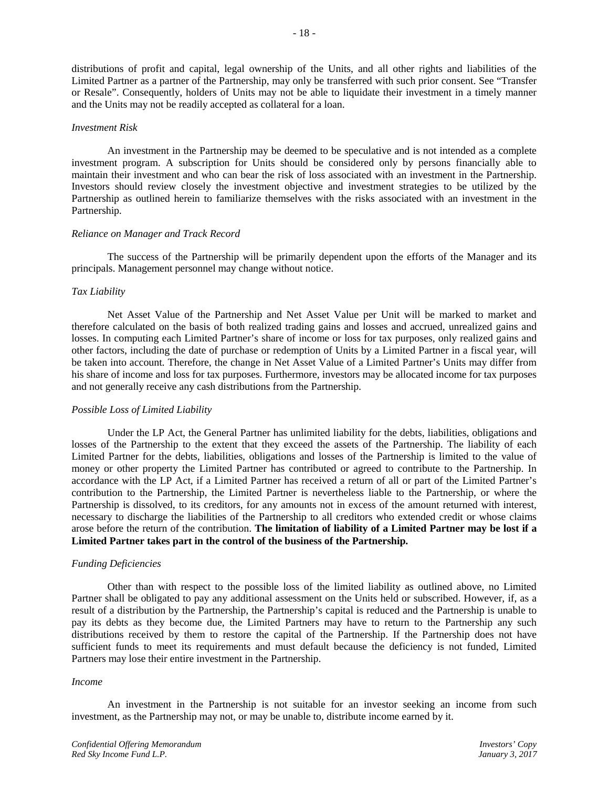distributions of profit and capital, legal ownership of the Units, and all other rights and liabilities of the Limited Partner as a partner of the Partnership, may only be transferred with such prior consent. See "Transfer or Resale". Consequently, holders of Units may not be able to liquidate their investment in a timely manner and the Units may not be readily accepted as collateral for a loan.

## *Investment Risk*

An investment in the Partnership may be deemed to be speculative and is not intended as a complete investment program. A subscription for Units should be considered only by persons financially able to maintain their investment and who can bear the risk of loss associated with an investment in the Partnership. Investors should review closely the investment objective and investment strategies to be utilized by the Partnership as outlined herein to familiarize themselves with the risks associated with an investment in the Partnership.

#### *Reliance on Manager and Track Record*

The success of the Partnership will be primarily dependent upon the efforts of the Manager and its principals. Management personnel may change without notice.

## *Tax Liability*

Net Asset Value of the Partnership and Net Asset Value per Unit will be marked to market and therefore calculated on the basis of both realized trading gains and losses and accrued, unrealized gains and losses. In computing each Limited Partner's share of income or loss for tax purposes, only realized gains and other factors, including the date of purchase or redemption of Units by a Limited Partner in a fiscal year, will be taken into account. Therefore, the change in Net Asset Value of a Limited Partner's Units may differ from his share of income and loss for tax purposes. Furthermore, investors may be allocated income for tax purposes and not generally receive any cash distributions from the Partnership.

## *Possible Loss of Limited Liability*

Under the LP Act, the General Partner has unlimited liability for the debts, liabilities, obligations and losses of the Partnership to the extent that they exceed the assets of the Partnership. The liability of each Limited Partner for the debts, liabilities, obligations and losses of the Partnership is limited to the value of money or other property the Limited Partner has contributed or agreed to contribute to the Partnership. In accordance with the LP Act, if a Limited Partner has received a return of all or part of the Limited Partner's contribution to the Partnership, the Limited Partner is nevertheless liable to the Partnership, or where the Partnership is dissolved, to its creditors, for any amounts not in excess of the amount returned with interest, necessary to discharge the liabilities of the Partnership to all creditors who extended credit or whose claims arose before the return of the contribution. **The limitation of liability of a Limited Partner may be lost if a Limited Partner takes part in the control of the business of the Partnership.**

## *Funding Deficiencies*

Other than with respect to the possible loss of the limited liability as outlined above, no Limited Partner shall be obligated to pay any additional assessment on the Units held or subscribed. However, if, as a result of a distribution by the Partnership, the Partnership's capital is reduced and the Partnership is unable to pay its debts as they become due, the Limited Partners may have to return to the Partnership any such distributions received by them to restore the capital of the Partnership. If the Partnership does not have sufficient funds to meet its requirements and must default because the deficiency is not funded, Limited Partners may lose their entire investment in the Partnership.

#### *Income*

An investment in the Partnership is not suitable for an investor seeking an income from such investment, as the Partnership may not, or may be unable to, distribute income earned by it.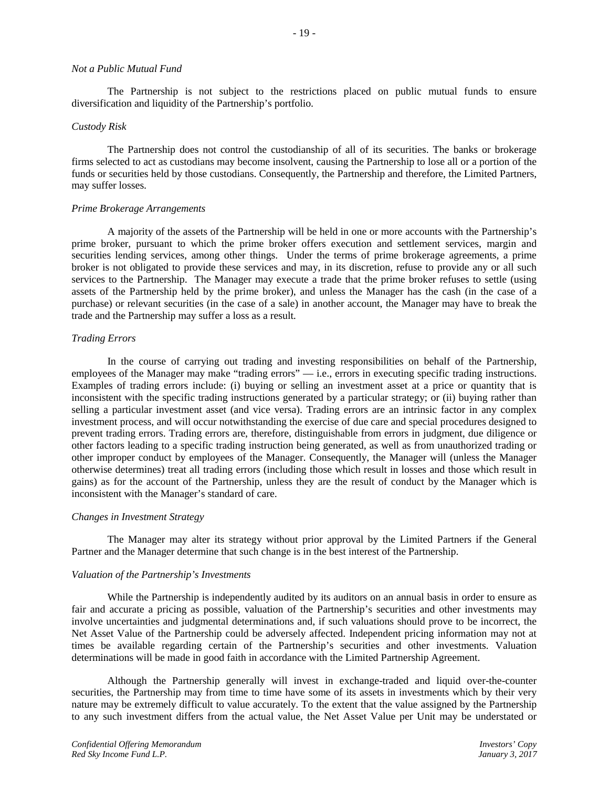#### *Not a Public Mutual Fund*

The Partnership is not subject to the restrictions placed on public mutual funds to ensure diversification and liquidity of the Partnership's portfolio.

#### *Custody Risk*

The Partnership does not control the custodianship of all of its securities. The banks or brokerage firms selected to act as custodians may become insolvent, causing the Partnership to lose all or a portion of the funds or securities held by those custodians. Consequently, the Partnership and therefore, the Limited Partners, may suffer losses.

#### *Prime Brokerage Arrangements*

A majority of the assets of the Partnership will be held in one or more accounts with the Partnership's prime broker, pursuant to which the prime broker offers execution and settlement services, margin and securities lending services, among other things. Under the terms of prime brokerage agreements, a prime broker is not obligated to provide these services and may, in its discretion, refuse to provide any or all such services to the Partnership. The Manager may execute a trade that the prime broker refuses to settle (using assets of the Partnership held by the prime broker), and unless the Manager has the cash (in the case of a purchase) or relevant securities (in the case of a sale) in another account, the Manager may have to break the trade and the Partnership may suffer a loss as a result.

#### *Trading Errors*

In the course of carrying out trading and investing responsibilities on behalf of the Partnership, employees of the Manager may make "trading errors" — i.e., errors in executing specific trading instructions. Examples of trading errors include: (i) buying or selling an investment asset at a price or quantity that is inconsistent with the specific trading instructions generated by a particular strategy; or (ii) buying rather than selling a particular investment asset (and vice versa). Trading errors are an intrinsic factor in any complex investment process, and will occur notwithstanding the exercise of due care and special procedures designed to prevent trading errors. Trading errors are, therefore, distinguishable from errors in judgment, due diligence or other factors leading to a specific trading instruction being generated, as well as from unauthorized trading or other improper conduct by employees of the Manager. Consequently, the Manager will (unless the Manager otherwise determines) treat all trading errors (including those which result in losses and those which result in gains) as for the account of the Partnership, unless they are the result of conduct by the Manager which is inconsistent with the Manager's standard of care.

#### *Changes in Investment Strategy*

The Manager may alter its strategy without prior approval by the Limited Partners if the General Partner and the Manager determine that such change is in the best interest of the Partnership.

#### *Valuation of the Partnership's Investments*

While the Partnership is independently audited by its auditors on an annual basis in order to ensure as fair and accurate a pricing as possible, valuation of the Partnership's securities and other investments may involve uncertainties and judgmental determinations and, if such valuations should prove to be incorrect, the Net Asset Value of the Partnership could be adversely affected. Independent pricing information may not at times be available regarding certain of the Partnership's securities and other investments. Valuation determinations will be made in good faith in accordance with the Limited Partnership Agreement.

Although the Partnership generally will invest in exchange-traded and liquid over-the-counter securities, the Partnership may from time to time have some of its assets in investments which by their very nature may be extremely difficult to value accurately. To the extent that the value assigned by the Partnership to any such investment differs from the actual value, the Net Asset Value per Unit may be understated or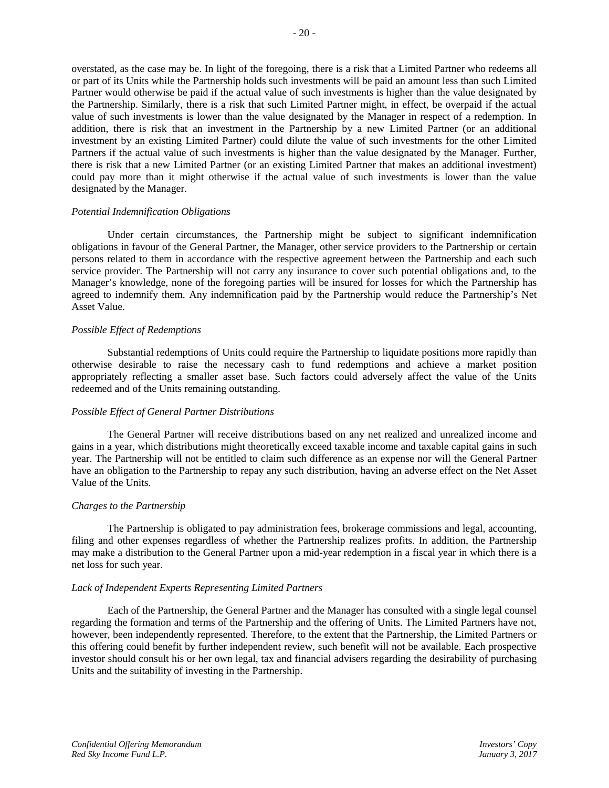overstated, as the case may be. In light of the foregoing, there is a risk that a Limited Partner who redeems all or part of its Units while the Partnership holds such investments will be paid an amount less than such Limited Partner would otherwise be paid if the actual value of such investments is higher than the value designated by the Partnership. Similarly, there is a risk that such Limited Partner might, in effect, be overpaid if the actual value of such investments is lower than the value designated by the Manager in respect of a redemption. In addition, there is risk that an investment in the Partnership by a new Limited Partner (or an additional investment by an existing Limited Partner) could dilute the value of such investments for the other Limited Partners if the actual value of such investments is higher than the value designated by the Manager. Further, there is risk that a new Limited Partner (or an existing Limited Partner that makes an additional investment) could pay more than it might otherwise if the actual value of such investments is lower than the value designated by the Manager.

#### *Potential Indemnification Obligations*

Under certain circumstances, the Partnership might be subject to significant indemnification obligations in favour of the General Partner, the Manager, other service providers to the Partnership or certain persons related to them in accordance with the respective agreement between the Partnership and each such service provider. The Partnership will not carry any insurance to cover such potential obligations and, to the Manager's knowledge, none of the foregoing parties will be insured for losses for which the Partnership has agreed to indemnify them. Any indemnification paid by the Partnership would reduce the Partnership's Net Asset Value.

#### *Possible Effect of Redemptions*

Substantial redemptions of Units could require the Partnership to liquidate positions more rapidly than otherwise desirable to raise the necessary cash to fund redemptions and achieve a market position appropriately reflecting a smaller asset base. Such factors could adversely affect the value of the Units redeemed and of the Units remaining outstanding.

## *Possible Effect of General Partner Distributions*

The General Partner will receive distributions based on any net realized and unrealized income and gains in a year, which distributions might theoretically exceed taxable income and taxable capital gains in such year. The Partnership will not be entitled to claim such difference as an expense nor will the General Partner have an obligation to the Partnership to repay any such distribution, having an adverse effect on the Net Asset Value of the Units.

## *Charges to the Partnership*

The Partnership is obligated to pay administration fees, brokerage commissions and legal, accounting, filing and other expenses regardless of whether the Partnership realizes profits. In addition, the Partnership may make a distribution to the General Partner upon a mid-year redemption in a fiscal year in which there is a net loss for such year.

#### *Lack of Independent Experts Representing Limited Partners*

Each of the Partnership, the General Partner and the Manager has consulted with a single legal counsel regarding the formation and terms of the Partnership and the offering of Units. The Limited Partners have not, however, been independently represented. Therefore, to the extent that the Partnership, the Limited Partners or this offering could benefit by further independent review, such benefit will not be available. Each prospective investor should consult his or her own legal, tax and financial advisers regarding the desirability of purchasing Units and the suitability of investing in the Partnership.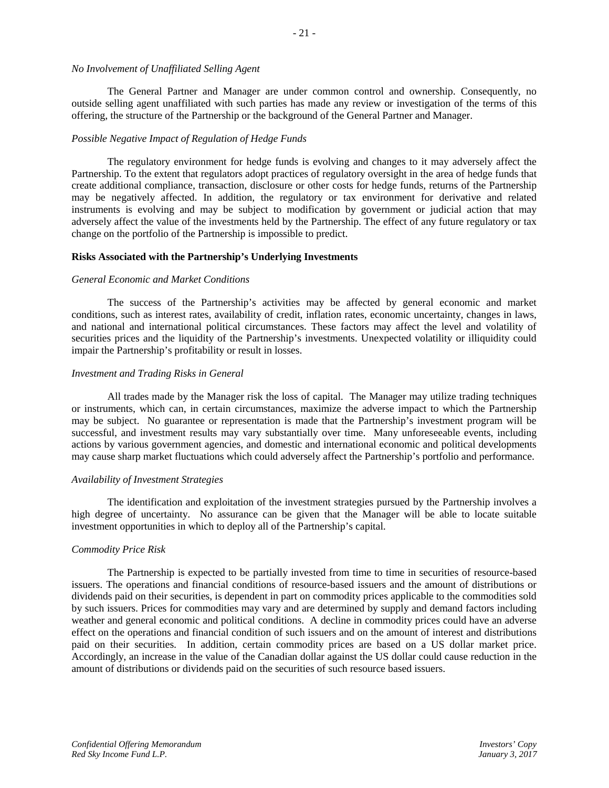# *No Involvement of Unaffiliated Selling Agent*

The General Partner and Manager are under common control and ownership. Consequently, no outside selling agent unaffiliated with such parties has made any review or investigation of the terms of this offering, the structure of the Partnership or the background of the General Partner and Manager.

## *Possible Negative Impact of Regulation of Hedge Funds*

The regulatory environment for hedge funds is evolving and changes to it may adversely affect the Partnership. To the extent that regulators adopt practices of regulatory oversight in the area of hedge funds that create additional compliance, transaction, disclosure or other costs for hedge funds, returns of the Partnership may be negatively affected. In addition, the regulatory or tax environment for derivative and related instruments is evolving and may be subject to modification by government or judicial action that may adversely affect the value of the investments held by the Partnership. The effect of any future regulatory or tax change on the portfolio of the Partnership is impossible to predict.

#### **Risks Associated with the Partnership's Underlying Investments**

#### *General Economic and Market Conditions*

The success of the Partnership's activities may be affected by general economic and market conditions, such as interest rates, availability of credit, inflation rates, economic uncertainty, changes in laws, and national and international political circumstances. These factors may affect the level and volatility of securities prices and the liquidity of the Partnership's investments. Unexpected volatility or illiquidity could impair the Partnership's profitability or result in losses.

#### *Investment and Trading Risks in General*

All trades made by the Manager risk the loss of capital. The Manager may utilize trading techniques or instruments, which can, in certain circumstances, maximize the adverse impact to which the Partnership may be subject. No guarantee or representation is made that the Partnership's investment program will be successful, and investment results may vary substantially over time. Many unforeseeable events, including actions by various government agencies, and domestic and international economic and political developments may cause sharp market fluctuations which could adversely affect the Partnership's portfolio and performance.

## *Availability of Investment Strategies*

The identification and exploitation of the investment strategies pursued by the Partnership involves a high degree of uncertainty. No assurance can be given that the Manager will be able to locate suitable investment opportunities in which to deploy all of the Partnership's capital.

## *Commodity Price Risk*

The Partnership is expected to be partially invested from time to time in securities of resource-based issuers. The operations and financial conditions of resource-based issuers and the amount of distributions or dividends paid on their securities, is dependent in part on commodity prices applicable to the commodities sold by such issuers. Prices for commodities may vary and are determined by supply and demand factors including weather and general economic and political conditions. A decline in commodity prices could have an adverse effect on the operations and financial condition of such issuers and on the amount of interest and distributions paid on their securities. In addition, certain commodity prices are based on a US dollar market price. Accordingly, an increase in the value of the Canadian dollar against the US dollar could cause reduction in the amount of distributions or dividends paid on the securities of such resource based issuers.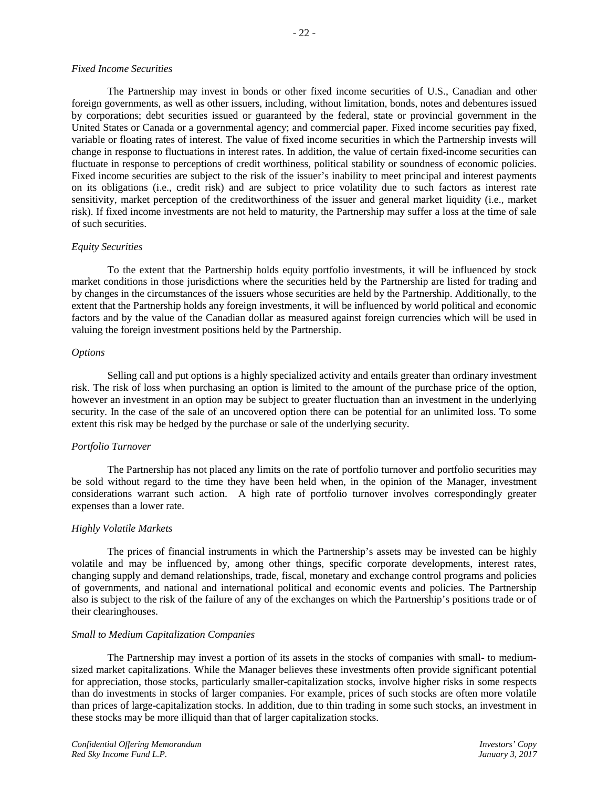## *Fixed Income Securities*

The Partnership may invest in bonds or other fixed income securities of U.S., Canadian and other foreign governments, as well as other issuers, including, without limitation, bonds, notes and debentures issued by corporations; debt securities issued or guaranteed by the federal, state or provincial government in the United States or Canada or a governmental agency; and commercial paper. Fixed income securities pay fixed, variable or floating rates of interest. The value of fixed income securities in which the Partnership invests will change in response to fluctuations in interest rates. In addition, the value of certain fixed-income securities can fluctuate in response to perceptions of credit worthiness, political stability or soundness of economic policies. Fixed income securities are subject to the risk of the issuer's inability to meet principal and interest payments on its obligations (i.e., credit risk) and are subject to price volatility due to such factors as interest rate sensitivity, market perception of the creditworthiness of the issuer and general market liquidity (i.e., market risk). If fixed income investments are not held to maturity, the Partnership may suffer a loss at the time of sale of such securities.

## *Equity Securities*

To the extent that the Partnership holds equity portfolio investments, it will be influenced by stock market conditions in those jurisdictions where the securities held by the Partnership are listed for trading and by changes in the circumstances of the issuers whose securities are held by the Partnership. Additionally, to the extent that the Partnership holds any foreign investments, it will be influenced by world political and economic factors and by the value of the Canadian dollar as measured against foreign currencies which will be used in valuing the foreign investment positions held by the Partnership.

#### *Options*

Selling call and put options is a highly specialized activity and entails greater than ordinary investment risk. The risk of loss when purchasing an option is limited to the amount of the purchase price of the option, however an investment in an option may be subject to greater fluctuation than an investment in the underlying security. In the case of the sale of an uncovered option there can be potential for an unlimited loss. To some extent this risk may be hedged by the purchase or sale of the underlying security.

## *Portfolio Turnover*

The Partnership has not placed any limits on the rate of portfolio turnover and portfolio securities may be sold without regard to the time they have been held when, in the opinion of the Manager, investment considerations warrant such action. A high rate of portfolio turnover involves correspondingly greater expenses than a lower rate.

## *Highly Volatile Markets*

The prices of financial instruments in which the Partnership's assets may be invested can be highly volatile and may be influenced by, among other things, specific corporate developments, interest rates, changing supply and demand relationships, trade, fiscal, monetary and exchange control programs and policies of governments, and national and international political and economic events and policies. The Partnership also is subject to the risk of the failure of any of the exchanges on which the Partnership's positions trade or of their clearinghouses.

## *Small to Medium Capitalization Companies*

The Partnership may invest a portion of its assets in the stocks of companies with small- to mediumsized market capitalizations. While the Manager believes these investments often provide significant potential for appreciation, those stocks, particularly smaller-capitalization stocks, involve higher risks in some respects than do investments in stocks of larger companies. For example, prices of such stocks are often more volatile than prices of large-capitalization stocks. In addition, due to thin trading in some such stocks, an investment in these stocks may be more illiquid than that of larger capitalization stocks.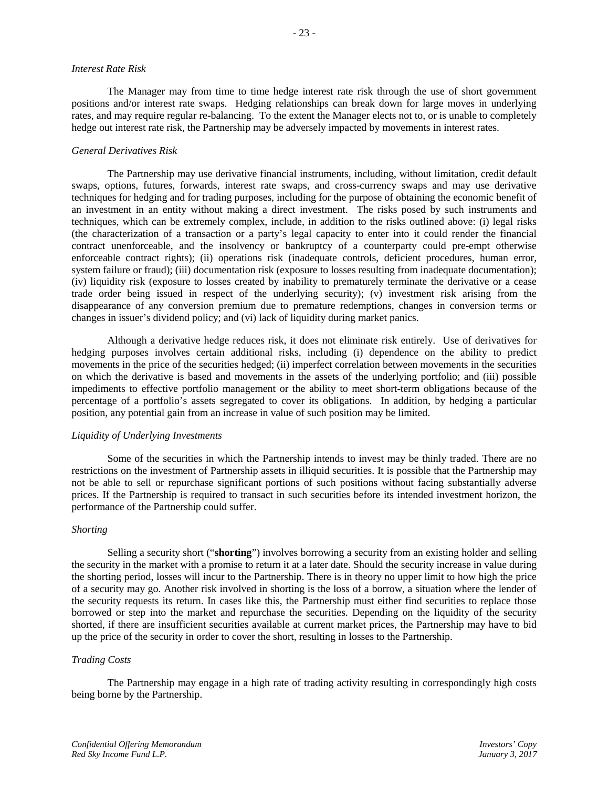### *Interest Rate Risk*

The Manager may from time to time hedge interest rate risk through the use of short government positions and/or interest rate swaps. Hedging relationships can break down for large moves in underlying rates, and may require regular re-balancing. To the extent the Manager elects not to, or is unable to completely hedge out interest rate risk, the Partnership may be adversely impacted by movements in interest rates.

## *General Derivatives Risk*

The Partnership may use derivative financial instruments, including, without limitation, credit default swaps, options, futures, forwards, interest rate swaps, and cross-currency swaps and may use derivative techniques for hedging and for trading purposes, including for the purpose of obtaining the economic benefit of an investment in an entity without making a direct investment. The risks posed by such instruments and techniques, which can be extremely complex, include, in addition to the risks outlined above: (i) legal risks (the characterization of a transaction or a party's legal capacity to enter into it could render the financial contract unenforceable, and the insolvency or bankruptcy of a counterparty could pre-empt otherwise enforceable contract rights); (ii) operations risk (inadequate controls, deficient procedures, human error, system failure or fraud); (iii) documentation risk (exposure to losses resulting from inadequate documentation); (iv) liquidity risk (exposure to losses created by inability to prematurely terminate the derivative or a cease trade order being issued in respect of the underlying security); (v) investment risk arising from the disappearance of any conversion premium due to premature redemptions, changes in conversion terms or changes in issuer's dividend policy; and (vi) lack of liquidity during market panics.

Although a derivative hedge reduces risk, it does not eliminate risk entirely. Use of derivatives for hedging purposes involves certain additional risks, including (i) dependence on the ability to predict movements in the price of the securities hedged; (ii) imperfect correlation between movements in the securities on which the derivative is based and movements in the assets of the underlying portfolio; and (iii) possible impediments to effective portfolio management or the ability to meet short-term obligations because of the percentage of a portfolio's assets segregated to cover its obligations. In addition, by hedging a particular position, any potential gain from an increase in value of such position may be limited.

## *Liquidity of Underlying Investments*

Some of the securities in which the Partnership intends to invest may be thinly traded. There are no restrictions on the investment of Partnership assets in illiquid securities. It is possible that the Partnership may not be able to sell or repurchase significant portions of such positions without facing substantially adverse prices. If the Partnership is required to transact in such securities before its intended investment horizon, the performance of the Partnership could suffer.

## *Shorting*

Selling a security short ("**shorting**") involves borrowing a security from an existing holder and selling the security in the market with a promise to return it at a later date. Should the security increase in value during the shorting period, losses will incur to the Partnership. There is in theory no upper limit to how high the price of a security may go. Another risk involved in shorting is the loss of a borrow, a situation where the lender of the security requests its return. In cases like this, the Partnership must either find securities to replace those borrowed or step into the market and repurchase the securities. Depending on the liquidity of the security shorted, if there are insufficient securities available at current market prices, the Partnership may have to bid up the price of the security in order to cover the short, resulting in losses to the Partnership.

# *Trading Costs*

The Partnership may engage in a high rate of trading activity resulting in correspondingly high costs being borne by the Partnership.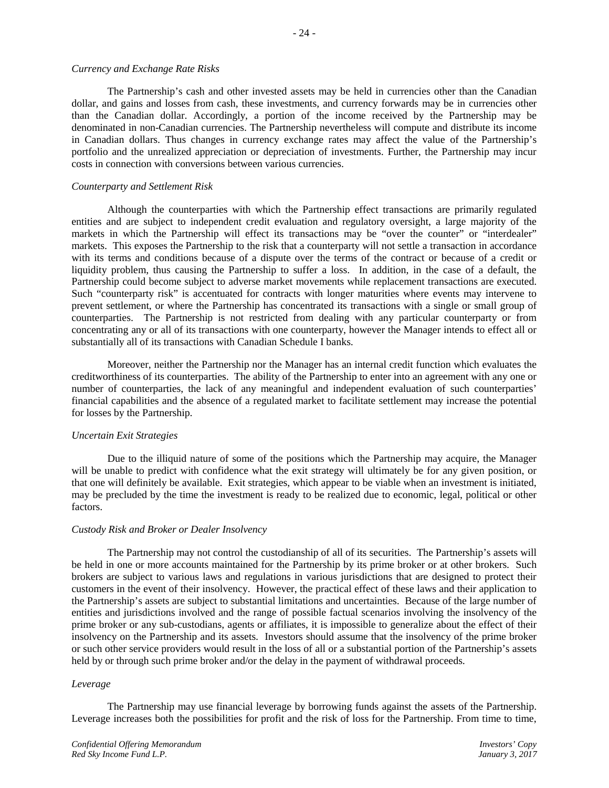### *Currency and Exchange Rate Risks*

The Partnership's cash and other invested assets may be held in currencies other than the Canadian dollar, and gains and losses from cash, these investments, and currency forwards may be in currencies other than the Canadian dollar. Accordingly, a portion of the income received by the Partnership may be denominated in non-Canadian currencies. The Partnership nevertheless will compute and distribute its income in Canadian dollars. Thus changes in currency exchange rates may affect the value of the Partnership's portfolio and the unrealized appreciation or depreciation of investments. Further, the Partnership may incur costs in connection with conversions between various currencies.

## *Counterparty and Settlement Risk*

Although the counterparties with which the Partnership effect transactions are primarily regulated entities and are subject to independent credit evaluation and regulatory oversight, a large majority of the markets in which the Partnership will effect its transactions may be "over the counter" or "interdealer" markets. This exposes the Partnership to the risk that a counterparty will not settle a transaction in accordance with its terms and conditions because of a dispute over the terms of the contract or because of a credit or liquidity problem, thus causing the Partnership to suffer a loss. In addition, in the case of a default, the Partnership could become subject to adverse market movements while replacement transactions are executed. Such "counterparty risk" is accentuated for contracts with longer maturities where events may intervene to prevent settlement, or where the Partnership has concentrated its transactions with a single or small group of counterparties. The Partnership is not restricted from dealing with any particular counterparty or from concentrating any or all of its transactions with one counterparty, however the Manager intends to effect all or substantially all of its transactions with Canadian Schedule I banks.

Moreover, neither the Partnership nor the Manager has an internal credit function which evaluates the creditworthiness of its counterparties. The ability of the Partnership to enter into an agreement with any one or number of counterparties, the lack of any meaningful and independent evaluation of such counterparties' financial capabilities and the absence of a regulated market to facilitate settlement may increase the potential for losses by the Partnership.

## *Uncertain Exit Strategies*

Due to the illiquid nature of some of the positions which the Partnership may acquire, the Manager will be unable to predict with confidence what the exit strategy will ultimately be for any given position, or that one will definitely be available. Exit strategies, which appear to be viable when an investment is initiated, may be precluded by the time the investment is ready to be realized due to economic, legal, political or other factors.

## *Custody Risk and Broker or Dealer Insolvency*

The Partnership may not control the custodianship of all of its securities. The Partnership's assets will be held in one or more accounts maintained for the Partnership by its prime broker or at other brokers. Such brokers are subject to various laws and regulations in various jurisdictions that are designed to protect their customers in the event of their insolvency. However, the practical effect of these laws and their application to the Partnership's assets are subject to substantial limitations and uncertainties. Because of the large number of entities and jurisdictions involved and the range of possible factual scenarios involving the insolvency of the prime broker or any sub-custodians, agents or affiliates, it is impossible to generalize about the effect of their insolvency on the Partnership and its assets. Investors should assume that the insolvency of the prime broker or such other service providers would result in the loss of all or a substantial portion of the Partnership's assets held by or through such prime broker and/or the delay in the payment of withdrawal proceeds.

## *Leverage*

The Partnership may use financial leverage by borrowing funds against the assets of the Partnership. Leverage increases both the possibilities for profit and the risk of loss for the Partnership. From time to time,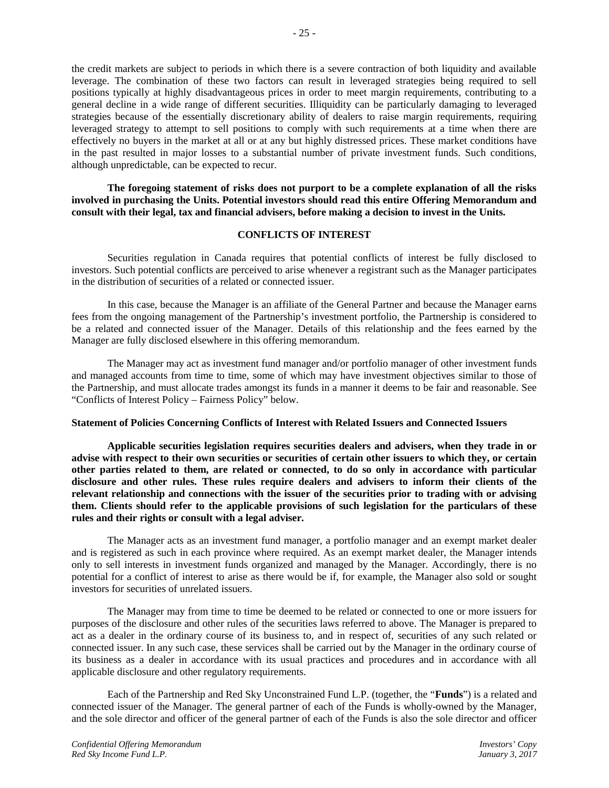the credit markets are subject to periods in which there is a severe contraction of both liquidity and available leverage. The combination of these two factors can result in leveraged strategies being required to sell positions typically at highly disadvantageous prices in order to meet margin requirements, contributing to a general decline in a wide range of different securities. Illiquidity can be particularly damaging to leveraged strategies because of the essentially discretionary ability of dealers to raise margin requirements, requiring leveraged strategy to attempt to sell positions to comply with such requirements at a time when there are effectively no buyers in the market at all or at any but highly distressed prices. These market conditions have in the past resulted in major losses to a substantial number of private investment funds. Such conditions, although unpredictable, can be expected to recur.

**The foregoing statement of risks does not purport to be a complete explanation of all the risks involved in purchasing the Units. Potential investors should read this entire Offering Memorandum and consult with their legal, tax and financial advisers, before making a decision to invest in the Units.**

# **CONFLICTS OF INTEREST**

Securities regulation in Canada requires that potential conflicts of interest be fully disclosed to investors. Such potential conflicts are perceived to arise whenever a registrant such as the Manager participates in the distribution of securities of a related or connected issuer.

In this case, because the Manager is an affiliate of the General Partner and because the Manager earns fees from the ongoing management of the Partnership's investment portfolio, the Partnership is considered to be a related and connected issuer of the Manager. Details of this relationship and the fees earned by the Manager are fully disclosed elsewhere in this offering memorandum.

The Manager may act as investment fund manager and/or portfolio manager of other investment funds and managed accounts from time to time, some of which may have investment objectives similar to those of the Partnership, and must allocate trades amongst its funds in a manner it deems to be fair and reasonable. See "Conflicts of Interest Policy – Fairness Policy" below.

#### **Statement of Policies Concerning Conflicts of Interest with Related Issuers and Connected Issuers**

**Applicable securities legislation requires securities dealers and advisers, when they trade in or advise with respect to their own securities or securities of certain other issuers to which they, or certain other parties related to them, are related or connected, to do so only in accordance with particular disclosure and other rules. These rules require dealers and advisers to inform their clients of the relevant relationship and connections with the issuer of the securities prior to trading with or advising them. Clients should refer to the applicable provisions of such legislation for the particulars of these rules and their rights or consult with a legal adviser.**

The Manager acts as an investment fund manager, a portfolio manager and an exempt market dealer and is registered as such in each province where required. As an exempt market dealer, the Manager intends only to sell interests in investment funds organized and managed by the Manager. Accordingly, there is no potential for a conflict of interest to arise as there would be if, for example, the Manager also sold or sought investors for securities of unrelated issuers.

The Manager may from time to time be deemed to be related or connected to one or more issuers for purposes of the disclosure and other rules of the securities laws referred to above. The Manager is prepared to act as a dealer in the ordinary course of its business to, and in respect of, securities of any such related or connected issuer. In any such case, these services shall be carried out by the Manager in the ordinary course of its business as a dealer in accordance with its usual practices and procedures and in accordance with all applicable disclosure and other regulatory requirements.

Each of the Partnership and Red Sky Unconstrained Fund L.P. (together, the "**Funds**") is a related and connected issuer of the Manager. The general partner of each of the Funds is wholly-owned by the Manager, and the sole director and officer of the general partner of each of the Funds is also the sole director and officer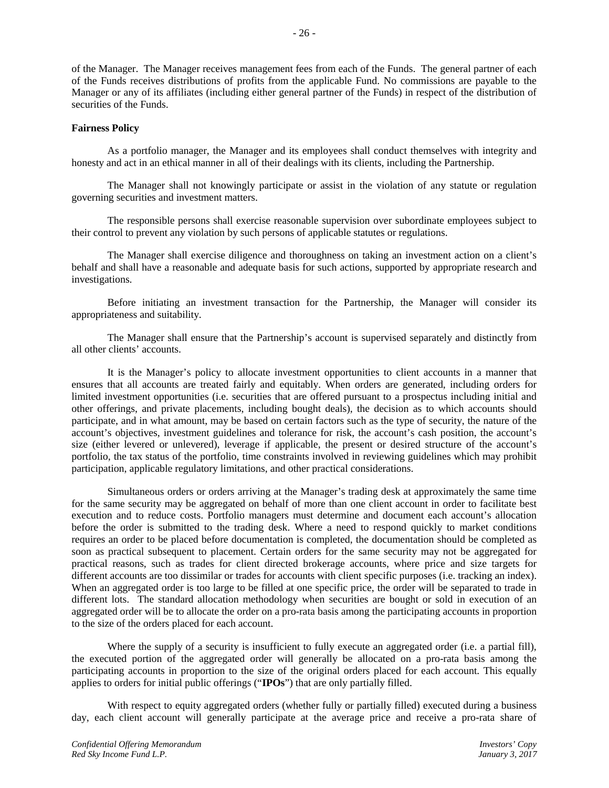of the Manager. The Manager receives management fees from each of the Funds. The general partner of each of the Funds receives distributions of profits from the applicable Fund. No commissions are payable to the Manager or any of its affiliates (including either general partner of the Funds) in respect of the distribution of securities of the Funds.

## **Fairness Policy**

As a portfolio manager, the Manager and its employees shall conduct themselves with integrity and honesty and act in an ethical manner in all of their dealings with its clients, including the Partnership.

The Manager shall not knowingly participate or assist in the violation of any statute or regulation governing securities and investment matters.

The responsible persons shall exercise reasonable supervision over subordinate employees subject to their control to prevent any violation by such persons of applicable statutes or regulations.

The Manager shall exercise diligence and thoroughness on taking an investment action on a client's behalf and shall have a reasonable and adequate basis for such actions, supported by appropriate research and investigations.

Before initiating an investment transaction for the Partnership, the Manager will consider its appropriateness and suitability.

The Manager shall ensure that the Partnership's account is supervised separately and distinctly from all other clients' accounts.

It is the Manager's policy to allocate investment opportunities to client accounts in a manner that ensures that all accounts are treated fairly and equitably. When orders are generated, including orders for limited investment opportunities (i.e. securities that are offered pursuant to a prospectus including initial and other offerings, and private placements, including bought deals), the decision as to which accounts should participate, and in what amount, may be based on certain factors such as the type of security, the nature of the account's objectives, investment guidelines and tolerance for risk, the account's cash position, the account's size (either levered or unlevered), leverage if applicable, the present or desired structure of the account's portfolio, the tax status of the portfolio, time constraints involved in reviewing guidelines which may prohibit participation, applicable regulatory limitations, and other practical considerations.

Simultaneous orders or orders arriving at the Manager's trading desk at approximately the same time for the same security may be aggregated on behalf of more than one client account in order to facilitate best execution and to reduce costs. Portfolio managers must determine and document each account's allocation before the order is submitted to the trading desk. Where a need to respond quickly to market conditions requires an order to be placed before documentation is completed, the documentation should be completed as soon as practical subsequent to placement. Certain orders for the same security may not be aggregated for practical reasons, such as trades for client directed brokerage accounts, where price and size targets for different accounts are too dissimilar or trades for accounts with client specific purposes (i.e. tracking an index). When an aggregated order is too large to be filled at one specific price, the order will be separated to trade in different lots. The standard allocation methodology when securities are bought or sold in execution of an aggregated order will be to allocate the order on a pro-rata basis among the participating accounts in proportion to the size of the orders placed for each account.

Where the supply of a security is insufficient to fully execute an aggregated order (i.e. a partial fill), the executed portion of the aggregated order will generally be allocated on a pro-rata basis among the participating accounts in proportion to the size of the original orders placed for each account. This equally applies to orders for initial public offerings ("**IPOs**") that are only partially filled.

With respect to equity aggregated orders (whether fully or partially filled) executed during a business day, each client account will generally participate at the average price and receive a pro-rata share of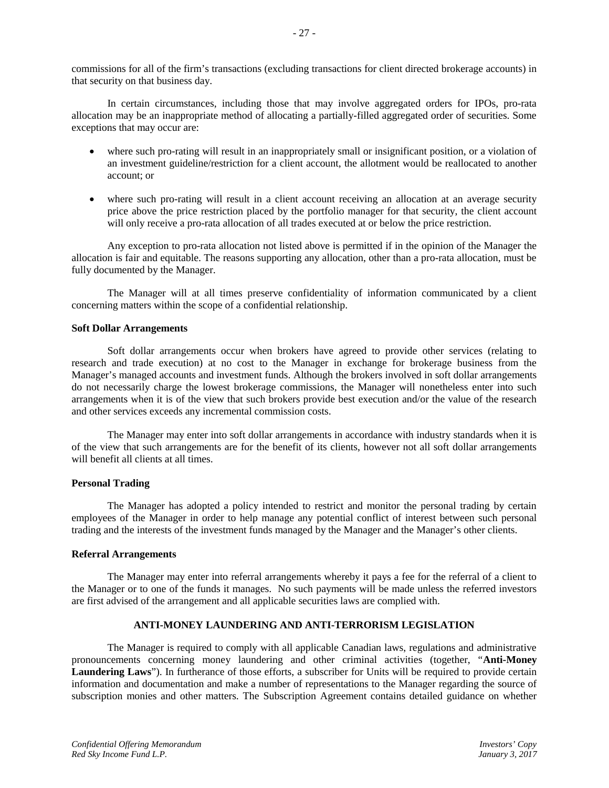commissions for all of the firm's transactions (excluding transactions for client directed brokerage accounts) in that security on that business day.

In certain circumstances, including those that may involve aggregated orders for IPOs, pro-rata allocation may be an inappropriate method of allocating a partially-filled aggregated order of securities. Some exceptions that may occur are:

- where such pro-rating will result in an inappropriately small or insignificant position, or a violation of an investment guideline/restriction for a client account, the allotment would be reallocated to another account; or
- where such pro-rating will result in a client account receiving an allocation at an average security price above the price restriction placed by the portfolio manager for that security, the client account will only receive a pro-rata allocation of all trades executed at or below the price restriction.

Any exception to pro-rata allocation not listed above is permitted if in the opinion of the Manager the allocation is fair and equitable. The reasons supporting any allocation, other than a pro-rata allocation, must be fully documented by the Manager.

The Manager will at all times preserve confidentiality of information communicated by a client concerning matters within the scope of a confidential relationship.

## **Soft Dollar Arrangements**

Soft dollar arrangements occur when brokers have agreed to provide other services (relating to research and trade execution) at no cost to the Manager in exchange for brokerage business from the Manager's managed accounts and investment funds. Although the brokers involved in soft dollar arrangements do not necessarily charge the lowest brokerage commissions, the Manager will nonetheless enter into such arrangements when it is of the view that such brokers provide best execution and/or the value of the research and other services exceeds any incremental commission costs.

The Manager may enter into soft dollar arrangements in accordance with industry standards when it is of the view that such arrangements are for the benefit of its clients, however not all soft dollar arrangements will benefit all clients at all times.

## **Personal Trading**

The Manager has adopted a policy intended to restrict and monitor the personal trading by certain employees of the Manager in order to help manage any potential conflict of interest between such personal trading and the interests of the investment funds managed by the Manager and the Manager's other clients.

## **Referral Arrangements**

The Manager may enter into referral arrangements whereby it pays a fee for the referral of a client to the Manager or to one of the funds it manages. No such payments will be made unless the referred investors are first advised of the arrangement and all applicable securities laws are complied with.

## **ANTI-MONEY LAUNDERING AND ANTI-TERRORISM LEGISLATION**

The Manager is required to comply with all applicable Canadian laws, regulations and administrative pronouncements concerning money laundering and other criminal activities (together, "**Anti-Money Laundering Laws**"). In furtherance of those efforts, a subscriber for Units will be required to provide certain information and documentation and make a number of representations to the Manager regarding the source of subscription monies and other matters. The Subscription Agreement contains detailed guidance on whether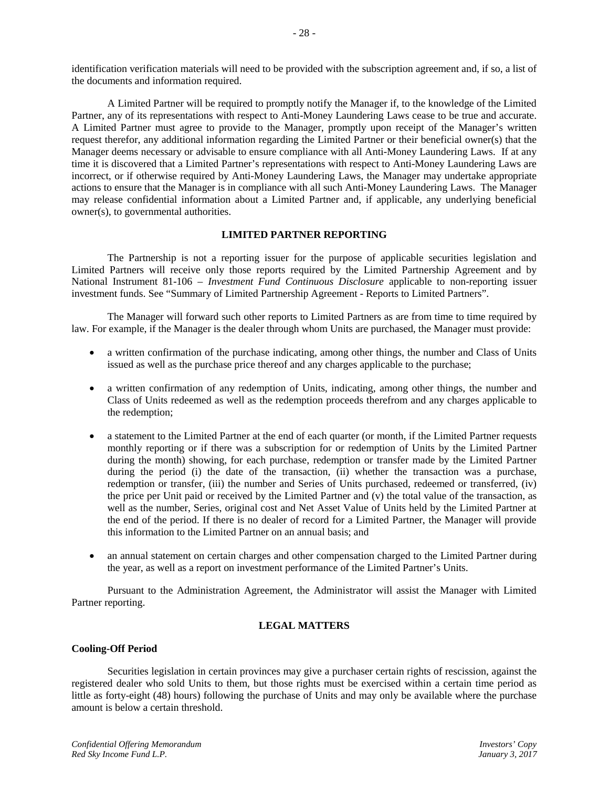identification verification materials will need to be provided with the subscription agreement and, if so, a list of the documents and information required.

A Limited Partner will be required to promptly notify the Manager if, to the knowledge of the Limited Partner, any of its representations with respect to Anti-Money Laundering Laws cease to be true and accurate. A Limited Partner must agree to provide to the Manager, promptly upon receipt of the Manager's written request therefor, any additional information regarding the Limited Partner or their beneficial owner(s) that the Manager deems necessary or advisable to ensure compliance with all Anti-Money Laundering Laws. If at any time it is discovered that a Limited Partner's representations with respect to Anti-Money Laundering Laws are incorrect, or if otherwise required by Anti-Money Laundering Laws, the Manager may undertake appropriate actions to ensure that the Manager is in compliance with all such Anti-Money Laundering Laws. The Manager may release confidential information about a Limited Partner and, if applicable, any underlying beneficial owner(s), to governmental authorities.

# **LIMITED PARTNER REPORTING**

The Partnership is not a reporting issuer for the purpose of applicable securities legislation and Limited Partners will receive only those reports required by the Limited Partnership Agreement and by National Instrument 81-106 – *Investment Fund Continuous Disclosure* applicable to non-reporting issuer investment funds. See "Summary of Limited Partnership Agreement - Reports to Limited Partners".

The Manager will forward such other reports to Limited Partners as are from time to time required by law. For example, if the Manager is the dealer through whom Units are purchased, the Manager must provide:

- a written confirmation of the purchase indicating, among other things, the number and Class of Units issued as well as the purchase price thereof and any charges applicable to the purchase;
- a written confirmation of any redemption of Units, indicating, among other things, the number and Class of Units redeemed as well as the redemption proceeds therefrom and any charges applicable to the redemption;
- a statement to the Limited Partner at the end of each quarter (or month, if the Limited Partner requests monthly reporting or if there was a subscription for or redemption of Units by the Limited Partner during the month) showing, for each purchase, redemption or transfer made by the Limited Partner during the period (i) the date of the transaction, (ii) whether the transaction was a purchase, redemption or transfer, (iii) the number and Series of Units purchased, redeemed or transferred, (iv) the price per Unit paid or received by the Limited Partner and (v) the total value of the transaction, as well as the number, Series, original cost and Net Asset Value of Units held by the Limited Partner at the end of the period. If there is no dealer of record for a Limited Partner, the Manager will provide this information to the Limited Partner on an annual basis; and
- an annual statement on certain charges and other compensation charged to the Limited Partner during the year, as well as a report on investment performance of the Limited Partner's Units.

Pursuant to the Administration Agreement, the Administrator will assist the Manager with Limited Partner reporting.

# **LEGAL MATTERS**

## **Cooling-Off Period**

Securities legislation in certain provinces may give a purchaser certain rights of rescission, against the registered dealer who sold Units to them, but those rights must be exercised within a certain time period as little as forty-eight (48) hours) following the purchase of Units and may only be available where the purchase amount is below a certain threshold.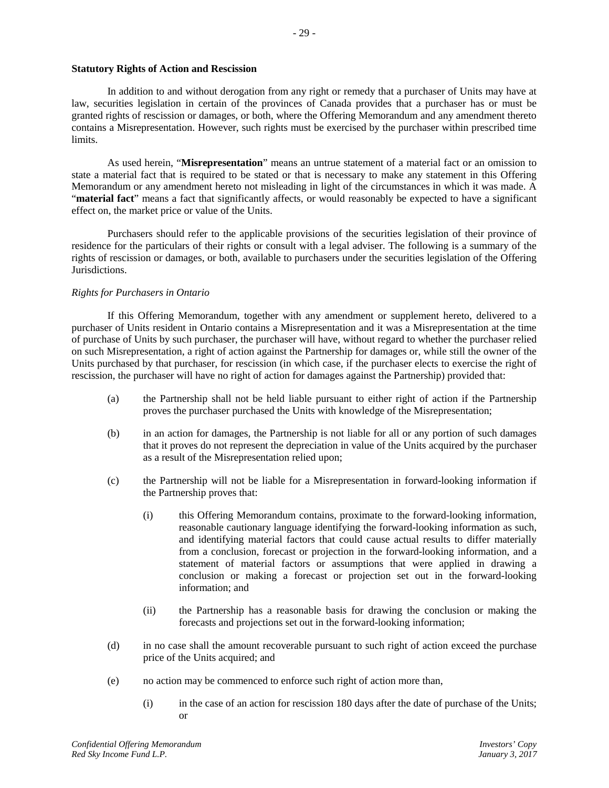## **Statutory Rights of Action and Rescission**

In addition to and without derogation from any right or remedy that a purchaser of Units may have at law, securities legislation in certain of the provinces of Canada provides that a purchaser has or must be granted rights of rescission or damages, or both, where the Offering Memorandum and any amendment thereto contains a Misrepresentation. However, such rights must be exercised by the purchaser within prescribed time limits.

As used herein, "**Misrepresentation**" means an untrue statement of a material fact or an omission to state a material fact that is required to be stated or that is necessary to make any statement in this Offering Memorandum or any amendment hereto not misleading in light of the circumstances in which it was made. A "**material fact**" means a fact that significantly affects, or would reasonably be expected to have a significant effect on, the market price or value of the Units.

Purchasers should refer to the applicable provisions of the securities legislation of their province of residence for the particulars of their rights or consult with a legal adviser. The following is a summary of the rights of rescission or damages, or both, available to purchasers under the securities legislation of the Offering Jurisdictions.

# *Rights for Purchasers in Ontario*

If this Offering Memorandum, together with any amendment or supplement hereto, delivered to a purchaser of Units resident in Ontario contains a Misrepresentation and it was a Misrepresentation at the time of purchase of Units by such purchaser, the purchaser will have, without regard to whether the purchaser relied on such Misrepresentation, a right of action against the Partnership for damages or, while still the owner of the Units purchased by that purchaser, for rescission (in which case, if the purchaser elects to exercise the right of rescission, the purchaser will have no right of action for damages against the Partnership) provided that:

- (a) the Partnership shall not be held liable pursuant to either right of action if the Partnership proves the purchaser purchased the Units with knowledge of the Misrepresentation;
- (b) in an action for damages, the Partnership is not liable for all or any portion of such damages that it proves do not represent the depreciation in value of the Units acquired by the purchaser as a result of the Misrepresentation relied upon;
- (c) the Partnership will not be liable for a Misrepresentation in forward-looking information if the Partnership proves that:
	- (i) this Offering Memorandum contains, proximate to the forward-looking information, reasonable cautionary language identifying the forward-looking information as such, and identifying material factors that could cause actual results to differ materially from a conclusion, forecast or projection in the forward-looking information, and a statement of material factors or assumptions that were applied in drawing a conclusion or making a forecast or projection set out in the forward-looking information; and
	- (ii) the Partnership has a reasonable basis for drawing the conclusion or making the forecasts and projections set out in the forward-looking information;
- (d) in no case shall the amount recoverable pursuant to such right of action exceed the purchase price of the Units acquired; and
- (e) no action may be commenced to enforce such right of action more than,
	- (i) in the case of an action for rescission 180 days after the date of purchase of the Units; or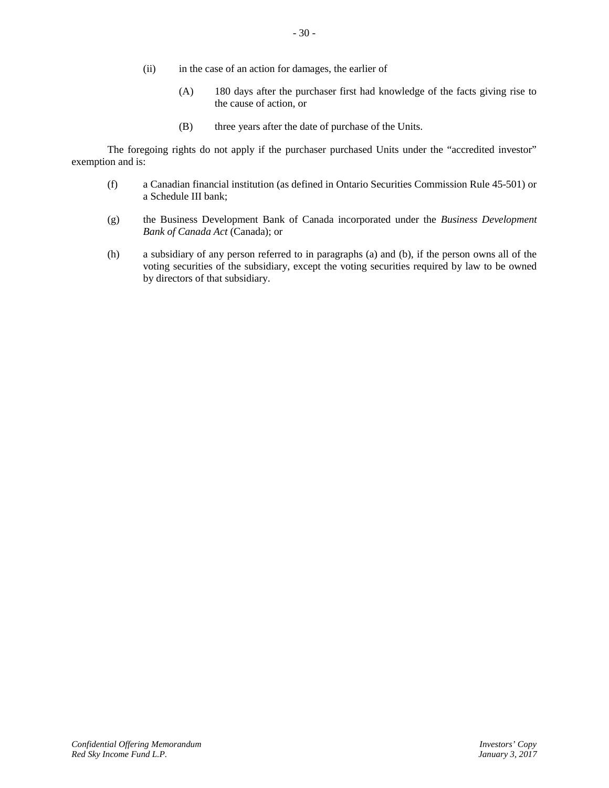- (ii) in the case of an action for damages, the earlier of
	- (A) 180 days after the purchaser first had knowledge of the facts giving rise to the cause of action, or
	- (B) three years after the date of purchase of the Units.

The foregoing rights do not apply if the purchaser purchased Units under the "accredited investor" exemption and is:

- (f) a Canadian financial institution (as defined in Ontario Securities Commission Rule 45-501) or a Schedule III bank;
- (g) the Business Development Bank of Canada incorporated under the *Business Development Bank of Canada Act* (Canada); or
- (h) a subsidiary of any person referred to in paragraphs (a) and (b), if the person owns all of the voting securities of the subsidiary, except the voting securities required by law to be owned by directors of that subsidiary.